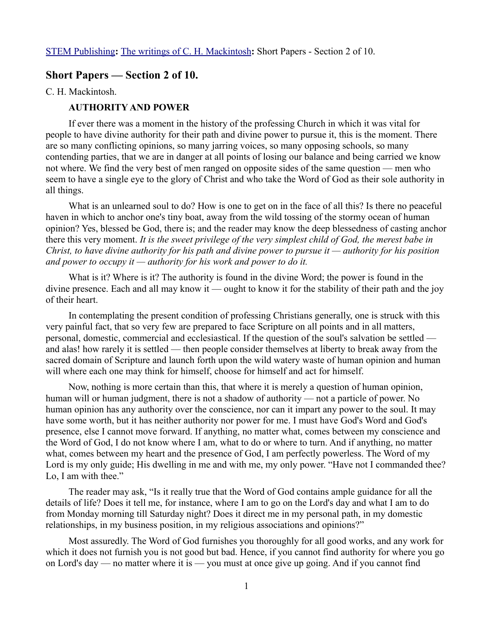## **Short Papers — Section 2 of 10.**

C. H. Mackintosh.

# **AUTHORITY AND POWER**

If ever there was a moment in the history of the professing Church in which it was vital for people to have divine authority for their path and divine power to pursue it, this is the moment. There are so many conflicting opinions, so many jarring voices, so many opposing schools, so many contending parties, that we are in danger at all points of losing our balance and being carried we know not where. We find the very best of men ranged on opposite sides of the same question — men who seem to have a single eye to the glory of Christ and who take the Word of God as their sole authority in all things.

What is an unlearned soul to do? How is one to get on in the face of all this? Is there no peaceful haven in which to anchor one's tiny boat, away from the wild tossing of the stormy ocean of human opinion? Yes, blessed be God, there is; and the reader may know the deep blessedness of casting anchor there this very moment. *It is the sweet privilege of the very simplest child of God, the merest babe in Christ, to have divine authority for his path and divine power to pursue it — authority for his position and power to occupy it — authority for his work and power to do it.* 

What is it? Where is it? The authority is found in the divine Word; the power is found in the divine presence. Each and all may know it — ought to know it for the stability of their path and the joy of their heart.

In contemplating the present condition of professing Christians generally, one is struck with this very painful fact, that so very few are prepared to face Scripture on all points and in all matters, personal, domestic, commercial and ecclesiastical. If the question of the soul's salvation be settled and alas! how rarely it is settled — then people consider themselves at liberty to break away from the sacred domain of Scripture and launch forth upon the wild watery waste of human opinion and human will where each one may think for himself, choose for himself and act for himself.

Now, nothing is more certain than this, that where it is merely a question of human opinion, human will or human judgment, there is not a shadow of authority — not a particle of power. No human opinion has any authority over the conscience, nor can it impart any power to the soul. It may have some worth, but it has neither authority nor power for me. I must have God's Word and God's presence, else I cannot move forward. If anything, no matter what, comes between my conscience and the Word of God, I do not know where I am, what to do or where to turn. And if anything, no matter what, comes between my heart and the presence of God, I am perfectly powerless. The Word of my Lord is my only guide; His dwelling in me and with me, my only power. "Have not I commanded thee? Lo, I am with thee."

The reader may ask, "Is it really true that the Word of God contains ample guidance for all the details of life? Does it tell me, for instance, where I am to go on the Lord's day and what I am to do from Monday morning till Saturday night? Does it direct me in my personal path, in my domestic relationships, in my business position, in my religious associations and opinions?"

Most assuredly. The Word of God furnishes you thoroughly for all good works, and any work for which it does not furnish you is not good but bad. Hence, if you cannot find authority for where you go on Lord's day — no matter where it is — you must at once give up going. And if you cannot find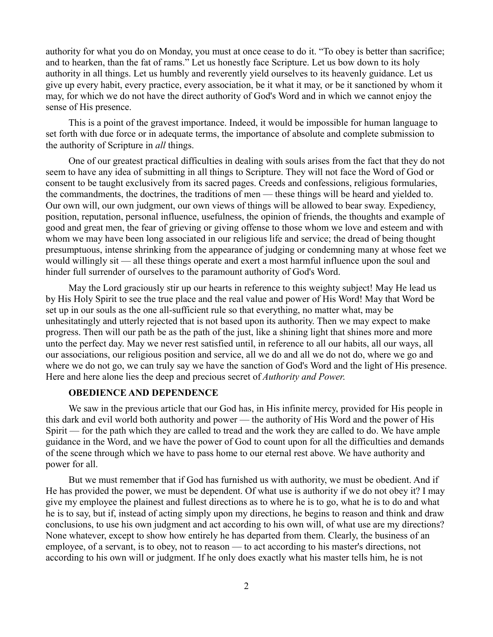authority for what you do on Monday, you must at once cease to do it. "To obey is better than sacrifice; and to hearken, than the fat of rams." Let us honestly face Scripture. Let us bow down to its holy authority in all things. Let us humbly and reverently yield ourselves to its heavenly guidance. Let us give up every habit, every practice, every association, be it what it may, or be it sanctioned by whom it may, for which we do not have the direct authority of God's Word and in which we cannot enjoy the sense of His presence.

This is a point of the gravest importance. Indeed, it would be impossible for human language to set forth with due force or in adequate terms, the importance of absolute and complete submission to the authority of Scripture in *all* things.

One of our greatest practical difficulties in dealing with souls arises from the fact that they do not seem to have any idea of submitting in all things to Scripture. They will not face the Word of God or consent to be taught exclusively from its sacred pages. Creeds and confessions, religious formularies, the commandments, the doctrines, the traditions of men — these things will be heard and yielded to. Our own will, our own judgment, our own views of things will be allowed to bear sway. Expediency, position, reputation, personal influence, usefulness, the opinion of friends, the thoughts and example of good and great men, the fear of grieving or giving offense to those whom we love and esteem and with whom we may have been long associated in our religious life and service; the dread of being thought presumptuous, intense shrinking from the appearance of judging or condemning many at whose feet we would willingly sit — all these things operate and exert a most harmful influence upon the soul and hinder full surrender of ourselves to the paramount authority of God's Word.

May the Lord graciously stir up our hearts in reference to this weighty subject! May He lead us by His Holy Spirit to see the true place and the real value and power of His Word! May that Word be set up in our souls as the one all-sufficient rule so that everything, no matter what, may be unhesitatingly and utterly rejected that is not based upon its authority. Then we may expect to make progress. Then will our path be as the path of the just, like a shining light that shines more and more unto the perfect day. May we never rest satisfied until, in reference to all our habits, all our ways, all our associations, our religious position and service, all we do and all we do not do, where we go and where we do not go, we can truly say we have the sanction of God's Word and the light of His presence. Here and here alone lies the deep and precious secret of *Authority and Power*.

#### **OBEDIENCE AND DEPENDENCE**

We saw in the previous article that our God has, in His infinite mercy, provided for His people in this dark and evil world both authority and power — the authority of His Word and the power of His Spirit — for the path which they are called to tread and the work they are called to do. We have ample guidance in the Word, and we have the power of God to count upon for all the difficulties and demands of the scene through which we have to pass home to our eternal rest above. We have authority and power for all.

But we must remember that if God has furnished us with authority, we must be obedient. And if He has provided the power, we must be dependent. Of what use is authority if we do not obey it? I may give my employee the plainest and fullest directions as to where he is to go, what he is to do and what he is to say, but if, instead of acting simply upon my directions, he begins to reason and think and draw conclusions, to use his own judgment and act according to his own will, of what use are my directions? None whatever, except to show how entirely he has departed from them. Clearly, the business of an employee, of a servant, is to obey, not to reason — to act according to his master's directions, not according to his own will or judgment. If he only does exactly what his master tells him, he is not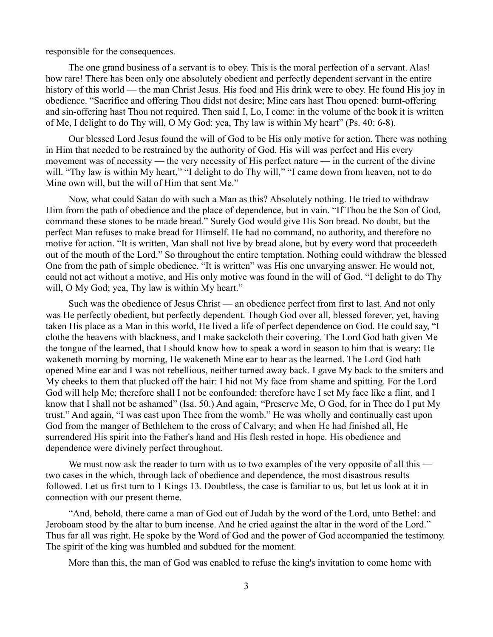responsible for the consequences.

The one grand business of a servant is to obey. This is the moral perfection of a servant. Alas! how rare! There has been only one absolutely obedient and perfectly dependent servant in the entire history of this world — the man Christ Jesus. His food and His drink were to obey. He found His joy in obedience. "Sacrifice and offering Thou didst not desire; Mine ears hast Thou opened: burnt-offering and sin-offering hast Thou not required. Then said I, Lo, I come: in the volume of the book it is written of Me, I delight to do Thy will, O My God: yea, Thy law is within My heart" (Ps. 40: 6-8).

Our blessed Lord Jesus found the will of God to be His only motive for action. There was nothing in Him that needed to be restrained by the authority of God. His will was perfect and His every movement was of necessity — the very necessity of His perfect nature — in the current of the divine will. "Thy law is within My heart," "I delight to do Thy will," "I came down from heaven, not to do Mine own will, but the will of Him that sent Me."

Now, what could Satan do with such a Man as this? Absolutely nothing. He tried to withdraw Him from the path of obedience and the place of dependence, but in vain. "If Thou be the Son of God, command these stones to be made bread." Surely God would give His Son bread. No doubt, but the perfect Man refuses to make bread for Himself. He had no command, no authority, and therefore no motive for action. "It is written, Man shall not live by bread alone, but by every word that proceedeth out of the mouth of the Lord." So throughout the entire temptation. Nothing could withdraw the blessed One from the path of simple obedience. "It is written" was His one unvarying answer. He would not, could not act without a motive, and His only motive was found in the will of God. "I delight to do Thy will, O My God; yea, Thy law is within My heart."

Such was the obedience of Jesus Christ — an obedience perfect from first to last. And not only was He perfectly obedient, but perfectly dependent. Though God over all, blessed forever, yet, having taken His place as a Man in this world, He lived a life of perfect dependence on God. He could say, "I clothe the heavens with blackness, and I make sackcloth their covering. The Lord God hath given Me the tongue of the learned, that I should know how to speak a word in season to him that is weary: He wakeneth morning by morning, He wakeneth Mine ear to hear as the learned. The Lord God hath opened Mine ear and I was not rebellious, neither turned away back. I gave My back to the smiters and My cheeks to them that plucked off the hair: I hid not My face from shame and spitting. For the Lord God will help Me; therefore shall I not be confounded: therefore have I set My face like a flint, and I know that I shall not be ashamed" (Isa. 50.) And again, "Preserve Me, O God, for in Thee do I put My trust." And again, "I was cast upon Thee from the womb." He was wholly and continually cast upon God from the manger of Bethlehem to the cross of Calvary; and when He had finished all, He surrendered His spirit into the Father's hand and His flesh rested in hope. His obedience and dependence were divinely perfect throughout.

We must now ask the reader to turn with us to two examples of the very opposite of all this two cases in the which, through lack of obedience and dependence, the most disastrous results followed. Let us first turn to 1 Kings 13. Doubtless, the case is familiar to us, but let us look at it in connection with our present theme.

"And, behold, there came a man of God out of Judah by the word of the Lord, unto Bethel: and Jeroboam stood by the altar to burn incense. And he cried against the altar in the word of the Lord." Thus far all was right. He spoke by the Word of God and the power of God accompanied the testimony. The spirit of the king was humbled and subdued for the moment.

More than this, the man of God was enabled to refuse the king's invitation to come home with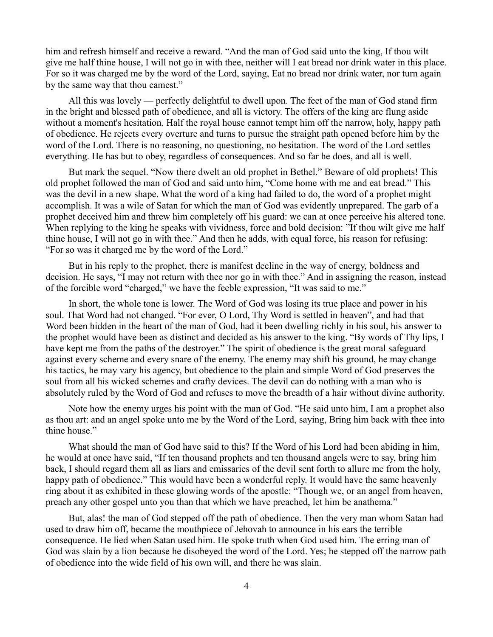him and refresh himself and receive a reward. "And the man of God said unto the king, If thou wilt give me half thine house, I will not go in with thee, neither will I eat bread nor drink water in this place. For so it was charged me by the word of the Lord, saying, Eat no bread nor drink water, nor turn again by the same way that thou camest."

All this was lovely — perfectly delightful to dwell upon. The feet of the man of God stand firm in the bright and blessed path of obedience, and all is victory. The offers of the king are flung aside without a moment's hesitation. Half the royal house cannot tempt him off the narrow, holy, happy path of obedience. He rejects every overture and turns to pursue the straight path opened before him by the word of the Lord. There is no reasoning, no questioning, no hesitation. The word of the Lord settles everything. He has but to obey, regardless of consequences. And so far he does, and all is well.

But mark the sequel. "Now there dwelt an old prophet in Bethel." Beware of old prophets! This old prophet followed the man of God and said unto him, "Come home with me and eat bread." This was the devil in a new shape. What the word of a king had failed to do, the word of a prophet might accomplish. It was a wile of Satan for which the man of God was evidently unprepared. The garb of a prophet deceived him and threw him completely off his guard: we can at once perceive his altered tone. When replying to the king he speaks with vividness, force and bold decision: "If thou wilt give me half thine house, I will not go in with thee." And then he adds, with equal force, his reason for refusing: "For so was it charged me by the word of the Lord."

But in his reply to the prophet, there is manifest decline in the way of energy, boldness and decision. He says, "I may not return with thee nor go in with thee." And in assigning the reason, instead of the forcible word "charged," we have the feeble expression, "It was said to me."

In short, the whole tone is lower. The Word of God was losing its true place and power in his soul. That Word had not changed. "For ever, O Lord, Thy Word is settled in heaven", and had that Word been hidden in the heart of the man of God, had it been dwelling richly in his soul, his answer to the prophet would have been as distinct and decided as his answer to the king. "By words of Thy lips, I have kept me from the paths of the destroyer." The spirit of obedience is the great moral safeguard against every scheme and every snare of the enemy. The enemy may shift his ground, he may change his tactics, he may vary his agency, but obedience to the plain and simple Word of God preserves the soul from all his wicked schemes and crafty devices. The devil can do nothing with a man who is absolutely ruled by the Word of God and refuses to move the breadth of a hair without divine authority.

Note how the enemy urges his point with the man of God. "He said unto him, I am a prophet also as thou art: and an angel spoke unto me by the Word of the Lord, saying, Bring him back with thee into thine house."

What should the man of God have said to this? If the Word of his Lord had been abiding in him, he would at once have said, "If ten thousand prophets and ten thousand angels were to say, bring him back, I should regard them all as liars and emissaries of the devil sent forth to allure me from the holy, happy path of obedience." This would have been a wonderful reply. It would have the same heavenly ring about it as exhibited in these glowing words of the apostle: "Though we, or an angel from heaven, preach any other gospel unto you than that which we have preached, let him be anathema."

But, alas! the man of God stepped off the path of obedience. Then the very man whom Satan had used to draw him off, became the mouthpiece of Jehovah to announce in his ears the terrible consequence. He lied when Satan used him. He spoke truth when God used him. The erring man of God was slain by a lion because he disobeyed the word of the Lord. Yes; he stepped off the narrow path of obedience into the wide field of his own will, and there he was slain.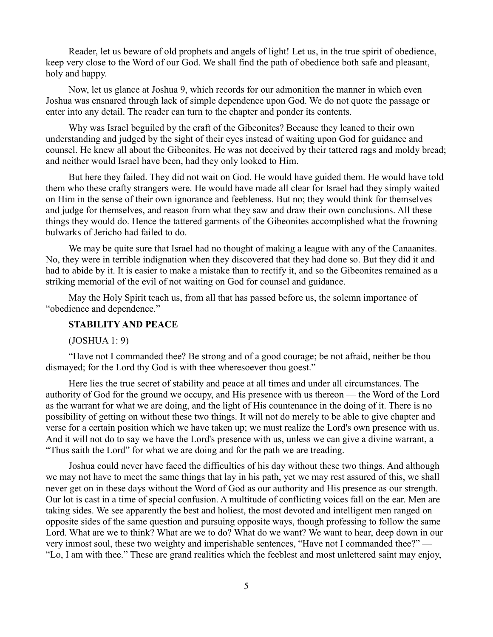Reader, let us beware of old prophets and angels of light! Let us, in the true spirit of obedience, keep very close to the Word of our God. We shall find the path of obedience both safe and pleasant, holy and happy.

Now, let us glance at Joshua 9, which records for our admonition the manner in which even Joshua was ensnared through lack of simple dependence upon God. We do not quote the passage or enter into any detail. The reader can turn to the chapter and ponder its contents.

Why was Israel beguiled by the craft of the Gibeonites? Because they leaned to their own understanding and judged by the sight of their eyes instead of waiting upon God for guidance and counsel. He knew all about the Gibeonites. He was not deceived by their tattered rags and moldy bread; and neither would Israel have been, had they only looked to Him.

But here they failed. They did not wait on God. He would have guided them. He would have told them who these crafty strangers were. He would have made all clear for Israel had they simply waited on Him in the sense of their own ignorance and feebleness. But no; they would think for themselves and judge for themselves, and reason from what they saw and draw their own conclusions. All these things they would do. Hence the tattered garments of the Gibeonites accomplished what the frowning bulwarks of Jericho had failed to do.

We may be quite sure that Israel had no thought of making a league with any of the Canaanites. No, they were in terrible indignation when they discovered that they had done so. But they did it and had to abide by it. It is easier to make a mistake than to rectify it, and so the Gibeonites remained as a striking memorial of the evil of not waiting on God for counsel and guidance.

May the Holy Spirit teach us, from all that has passed before us, the solemn importance of "obedience and dependence."

# **STABILITY AND PEACE**

#### (JOSHUA 1: 9)

"Have not I commanded thee? Be strong and of a good courage; be not afraid, neither be thou dismayed; for the Lord thy God is with thee wheresoever thou goest."

Here lies the true secret of stability and peace at all times and under all circumstances. The authority of God for the ground we occupy, and His presence with us thereon — the Word of the Lord as the warrant for what we are doing, and the light of His countenance in the doing of it. There is no possibility of getting on without these two things. It will not do merely to be able to give chapter and verse for a certain position which we have taken up; we must realize the Lord's own presence with us. And it will not do to say we have the Lord's presence with us, unless we can give a divine warrant, a "Thus saith the Lord" for what we are doing and for the path we are treading.

Joshua could never have faced the difficulties of his day without these two things. And although we may not have to meet the same things that lay in his path, yet we may rest assured of this, we shall never get on in these days without the Word of God as our authority and His presence as our strength. Our lot is cast in a time of special confusion. A multitude of conflicting voices fall on the ear. Men are taking sides. We see apparently the best and holiest, the most devoted and intelligent men ranged on opposite sides of the same question and pursuing opposite ways, though professing to follow the same Lord. What are we to think? What are we to do? What do we want? We want to hear, deep down in our very inmost soul, these two weighty and imperishable sentences, "Have not I commanded thee?" — "Lo, I am with thee." These are grand realities which the feeblest and most unlettered saint may enjoy,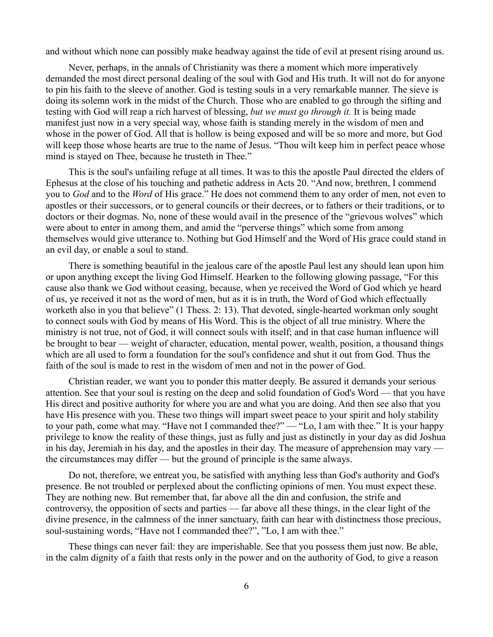and without which none can possibly make headway against the tide of evil at present rising around us.

Never, perhaps, in the annals of Christianity was there a moment which more imperatively demanded the most direct personal dealing of the soul with God and His truth. It will not do for anyone to pin his faith to the sleeve of another. God is testing souls in a very remarkable manner. The sieve is doing its solemn work in the midst of the Church. Those who are enabled to go through the sifting and testing with God will reap a rich harvest of blessing, *but we must go through it.* It is being made manifest just now in a very special way, whose faith is standing merely in the wisdom of men and whose in the power of God. All that is hollow is being exposed and will be so more and more, but God will keep those whose hearts are true to the name of Jesus. "Thou wilt keep him in perfect peace whose mind is stayed on Thee, because he trusteth in Thee."

This is the soul's unfailing refuge at all times. It was to this the apostle Paul directed the elders of Ephesus at the close of his touching and pathetic address in Acts 20. "And now, brethren, I commend you to *God* and to the *Word* of His grace." He does not commend them to any order of men, not even to apostles or their successors, or to general councils or their decrees, or to fathers or their traditions, or to doctors or their dogmas. No, none of these would avail in the presence of the "grievous wolves" which were about to enter in among them, and amid the "perverse things" which some from among themselves would give utterance to. Nothing but God Himself and the Word of His grace could stand in an evil day, or enable a soul to stand.

There is something beautiful in the jealous care of the apostle Paul lest any should lean upon him or upon anything except the living God Himself. Hearken to the following glowing passage, "For this cause also thank we God without ceasing, because, when ye received the Word of God which ye heard of us, ye received it not as the word of men, but as it is in truth, the Word of God which effectually worketh also in you that believe" (1 Thess. 2: 13). That devoted, single-hearted workman only sought to connect souls with God by means of His Word. This is the object of all true ministry. Where the ministry is not true, not of God, it will connect souls with itself; and in that case human influence will be brought to bear — weight of character, education, mental power, wealth, position, a thousand things which are all used to form a foundation for the soul's confidence and shut it out from God. Thus the faith of the soul is made to rest in the wisdom of men and not in the power of God.

Christian reader, we want you to ponder this matter deeply. Be assured it demands your serious attention. See that your soul is resting on the deep and solid foundation of God's Word — that you have His direct and positive authority for where you are and what you are doing. And then see also that you have His presence with you. These two things will impart sweet peace to your spirit and holy stability to your path, come what may. "Have not I commanded thee?" — "Lo, l am with thee." It is your happy privilege to know the reality of these things, just as fully and just as distinctly in your day as did Joshua in his day, Jeremiah in his day, and the apostles in their day. The measure of apprehension may vary the circumstances may differ — but the ground of principle is the same always.

Do not, therefore, we entreat you, be satisfied with anything less than God's authority and God's presence. Be not troubled or perplexed about the conflicting opinions of men. You must expect these. They are nothing new. But remember that, far above all the din and confusion, the strife and controversy, the opposition of sects and parties — far above all these things, in the clear light of the divine presence, in the calmness of the inner sanctuary, faith can hear with distinctness those precious, soul-sustaining words, "Have not I commanded thee?", "Lo, I am with thee."

These things can never fail: they are imperishable. See that you possess them just now. Be able, in the calm dignity of a faith that rests only in the power and on the authority of God, to give a reason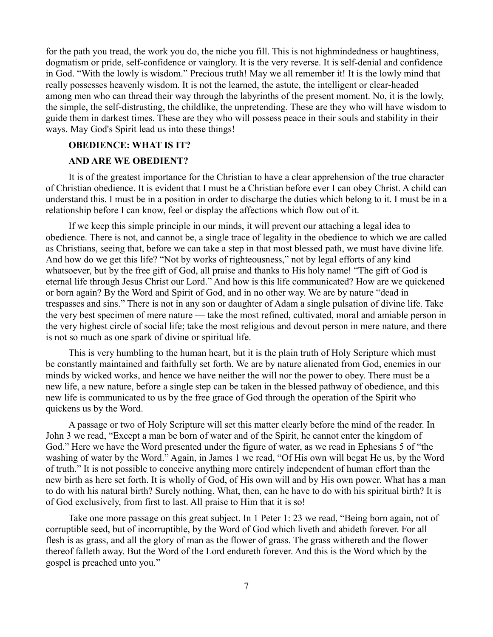for the path you tread, the work you do, the niche you fill. This is not highmindedness or haughtiness, dogmatism or pride, self-confidence or vainglory. It is the very reverse. It is self-denial and confidence in God. "With the lowly is wisdom." Precious truth! May we all remember it! It is the lowly mind that really possesses heavenly wisdom. It is not the learned, the astute, the intelligent or clear-headed among men who can thread their way through the labyrinths of the present moment. No, it is the lowly, the simple, the self-distrusting, the childlike, the unpretending. These are they who will have wisdom to guide them in darkest times. These are they who will possess peace in their souls and stability in their ways. May God's Spirit lead us into these things!

## **OBEDIENCE: WHAT IS IT?**

### **AND ARE WE OBEDIENT?**

It is of the greatest importance for the Christian to have a clear apprehension of the true character of Christian obedience. It is evident that I must be a Christian before ever I can obey Christ. A child can understand this. I must be in a position in order to discharge the duties which belong to it. I must be in a relationship before I can know, feel or display the affections which flow out of it.

If we keep this simple principle in our minds, it will prevent our attaching a legal idea to obedience. There is not, and cannot be, a single trace of legality in the obedience to which we are called as Christians, seeing that, before we can take a step in that most blessed path, we must have divine life. And how do we get this life? "Not by works of righteousness," not by legal efforts of any kind whatsoever, but by the free gift of God, all praise and thanks to His holy name! "The gift of God is eternal life through Jesus Christ our Lord." And how is this life communicated? How are we quickened or born again? By the Word and Spirit of God, and in no other way. We are by nature "dead in trespasses and sins." There is not in any son or daughter of Adam a single pulsation of divine life. Take the very best specimen of mere nature — take the most refined, cultivated, moral and amiable person in the very highest circle of social life; take the most religious and devout person in mere nature, and there is not so much as one spark of divine or spiritual life.

This is very humbling to the human heart, but it is the plain truth of Holy Scripture which must be constantly maintained and faithfully set forth. We are by nature alienated from God, enemies in our minds by wicked works, and hence we have neither the will nor the power to obey. There must be a new life, a new nature, before a single step can be taken in the blessed pathway of obedience, and this new life is communicated to us by the free grace of God through the operation of the Spirit who quickens us by the Word.

A passage or two of Holy Scripture will set this matter clearly before the mind of the reader. In John 3 we read, "Except a man be born of water and of the Spirit, he cannot enter the kingdom of God." Here we have the Word presented under the figure of water, as we read in Ephesians 5 of "the washing of water by the Word." Again, in James 1 we read, "Of His own will begat He us, by the Word of truth." It is not possible to conceive anything more entirely independent of human effort than the new birth as here set forth. It is wholly of God, of His own will and by His own power. What has a man to do with his natural birth? Surely nothing. What, then, can he have to do with his spiritual birth? It is of God exclusively, from first to last. All praise to Him that it is so!

Take one more passage on this great subject. In 1 Peter 1: 23 we read, "Being born again, not of corruptible seed, but of incorruptible, by the Word of God which liveth and abideth forever. For all flesh is as grass, and all the glory of man as the flower of grass. The grass withereth and the flower thereof falleth away. But the Word of the Lord endureth forever. And this is the Word which by the gospel is preached unto you."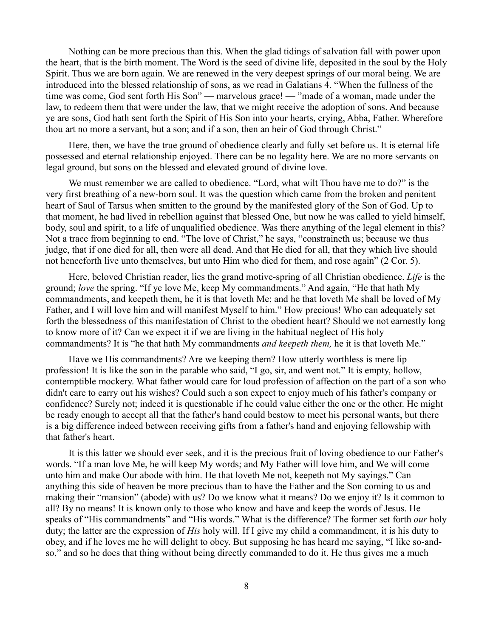Nothing can be more precious than this. When the glad tidings of salvation fall with power upon the heart, that is the birth moment. The Word is the seed of divine life, deposited in the soul by the Holy Spirit. Thus we are born again. We are renewed in the very deepest springs of our moral being. We are introduced into the blessed relationship of sons, as we read in Galatians 4. "When the fullness of the time was come, God sent forth His Son" — marvelous grace! — "made of a woman, made under the law, to redeem them that were under the law, that we might receive the adoption of sons. And because ye are sons, God hath sent forth the Spirit of His Son into your hearts, crying, Abba, Father. Wherefore thou art no more a servant, but a son; and if a son, then an heir of God through Christ."

Here, then, we have the true ground of obedience clearly and fully set before us. It is eternal life possessed and eternal relationship enjoyed. There can be no legality here. We are no more servants on legal ground, but sons on the blessed and elevated ground of divine love.

We must remember we are called to obedience. "Lord, what wilt Thou have me to do?" is the very first breathing of a new-born soul. It was the question which came from the broken and penitent heart of Saul of Tarsus when smitten to the ground by the manifested glory of the Son of God. Up to that moment, he had lived in rebellion against that blessed One, but now he was called to yield himself, body, soul and spirit, to a life of unqualified obedience. Was there anything of the legal element in this? Not a trace from beginning to end. "The love of Christ," he says, "constraineth us; because we thus judge, that if one died for all, then were all dead. And that He died for all, that they which live should not henceforth live unto themselves, but unto Him who died for them, and rose again" (2 Cor. 5).

Here, beloved Christian reader, lies the grand motive-spring of all Christian obedience. *Life* is the ground; *love* the spring. "If ye love Me, keep My commandments." And again, "He that hath My commandments, and keepeth them, he it is that loveth Me; and he that loveth Me shall be loved of My Father, and I will love him and will manifest Myself to him." How precious! Who can adequately set forth the blessedness of this manifestation of Christ to the obedient heart? Should we not earnestly long to know more of it? Can we expect it if we are living in the habitual neglect of His holy commandments? It is "he that hath My commandments *and keepeth them,* he it is that loveth Me."

Have we His commandments? Are we keeping them? How utterly worthless is mere lip profession! It is like the son in the parable who said, "I go, sir, and went not." It is empty, hollow, contemptible mockery. What father would care for loud profession of affection on the part of a son who didn't care to carry out his wishes? Could such a son expect to enjoy much of his father's company or confidence? Surely not; indeed it is questionable if he could value either the one or the other. He might be ready enough to accept all that the father's hand could bestow to meet his personal wants, but there is a big difference indeed between receiving gifts from a father's hand and enjoying fellowship with that father's heart.

It is this latter we should ever seek, and it is the precious fruit of loving obedience to our Father's words. "If a man love Me, he will keep My words; and My Father will love him, and We will come unto him and make Our abode with him. He that loveth Me not, keepeth not My sayings." Can anything this side of heaven be more precious than to have the Father and the Son coming to us and making their "mansion" (abode) with us? Do we know what it means? Do we enjoy it? Is it common to all? By no means! It is known only to those who know and have and keep the words of Jesus. He speaks of "His commandments" and "His words." What is the difference? The former set forth *our* holy duty; the latter are the expression of *His* holy will. If I give my child a commandment, it is his duty to obey, and if he loves me he will delight to obey. But supposing he has heard me saying, "I like so-andso," and so he does that thing without being directly commanded to do it. He thus gives me a much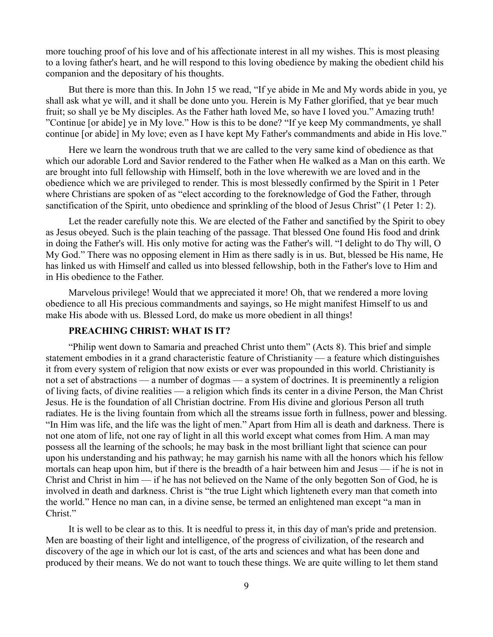more touching proof of his love and of his affectionate interest in all my wishes. This is most pleasing to a loving father's heart, and he will respond to this loving obedience by making the obedient child his companion and the depositary of his thoughts.

But there is more than this. In John 15 we read, "If ye abide in Me and My words abide in you, ye shall ask what ye will, and it shall be done unto you. Herein is My Father glorified, that ye bear much fruit; so shall ye be My disciples. As the Father hath loved Me, so have I loved you." Amazing truth! "Continue [or abide] ye in My love." How is this to be done? "If ye keep My commandments, ye shall continue [or abide] in My love; even as I have kept My Father's commandments and abide in His love."

Here we learn the wondrous truth that we are called to the very same kind of obedience as that which our adorable Lord and Savior rendered to the Father when He walked as a Man on this earth. We are brought into full fellowship with Himself, both in the love wherewith we are loved and in the obedience which we are privileged to render. This is most blessedly confirmed by the Spirit in 1 Peter where Christians are spoken of as "elect according to the foreknowledge of God the Father, through sanctification of the Spirit, unto obedience and sprinkling of the blood of Jesus Christ" (1 Peter 1: 2).

Let the reader carefully note this. We are elected of the Father and sanctified by the Spirit to obey as Jesus obeyed. Such is the plain teaching of the passage. That blessed One found His food and drink in doing the Father's will. His only motive for acting was the Father's will. "I delight to do Thy will, O My God." There was no opposing element in Him as there sadly is in us. But, blessed be His name, He has linked us with Himself and called us into blessed fellowship, both in the Father's love to Him and in His obedience to the Father.

Marvelous privilege! Would that we appreciated it more! Oh, that we rendered a more loving obedience to all His precious commandments and sayings, so He might manifest Himself to us and make His abode with us. Blessed Lord, do make us more obedient in all things!

## **PREACHING CHRIST: WHAT IS IT?**

"Philip went down to Samaria and preached Christ unto them" (Acts 8). This brief and simple statement embodies in it a grand characteristic feature of Christianity — a feature which distinguishes it from every system of religion that now exists or ever was propounded in this world. Christianity is not a set of abstractions — a number of dogmas — a system of doctrines. It is preeminently a religion of living facts, of divine realities — a religion which finds its center in a divine Person, the Man Christ Jesus. He is the foundation of all Christian doctrine. From His divine and glorious Person all truth radiates. He is the living fountain from which all the streams issue forth in fullness, power and blessing. "In Him was life, and the life was the light of men." Apart from Him all is death and darkness. There is not one atom of life, not one ray of light in all this world except what comes from Him. A man may possess all the learning of the schools; he may bask in the most brilliant light that science can pour upon his understanding and his pathway; he may garnish his name with all the honors which his fellow mortals can heap upon him, but if there is the breadth of a hair between him and Jesus — if he is not in Christ and Christ in him — if he has not believed on the Name of the only begotten Son of God, he is involved in death and darkness. Christ is "the true Light which lighteneth every man that cometh into the world." Hence no man can, in a divine sense, be termed an enlightened man except "a man in Christ."

It is well to be clear as to this. It is needful to press it, in this day of man's pride and pretension. Men are boasting of their light and intelligence, of the progress of civilization, of the research and discovery of the age in which our lot is cast, of the arts and sciences and what has been done and produced by their means. We do not want to touch these things. We are quite willing to let them stand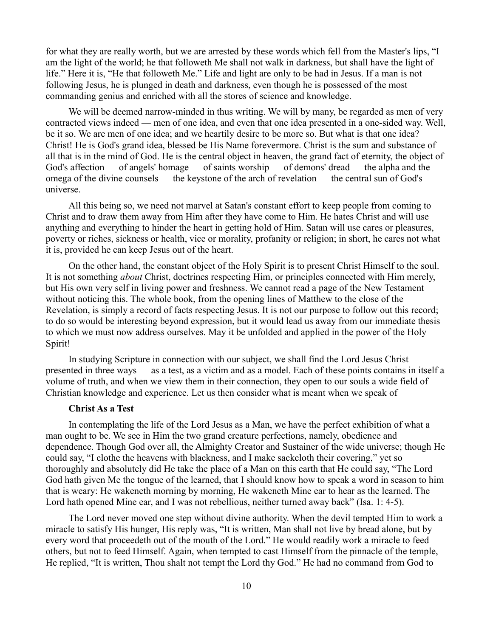for what they are really worth, but we are arrested by these words which fell from the Master's lips, "I am the light of the world; he that followeth Me shall not walk in darkness, but shall have the light of life." Here it is, "He that followeth Me." Life and light are only to be had in Jesus. If a man is not following Jesus, he is plunged in death and darkness, even though he is possessed of the most commanding genius and enriched with all the stores of science and knowledge.

We will be deemed narrow-minded in thus writing. We will by many, be regarded as men of very contracted views indeed — men of one idea, and even that one idea presented in a one-sided way. Well, be it so. We are men of one idea; and we heartily desire to be more so. But what is that one idea? Christ! He is God's grand idea, blessed be His Name forevermore. Christ is the sum and substance of all that is in the mind of God. He is the central object in heaven, the grand fact of eternity, the object of God's affection — of angels' homage — of saints worship — of demons' dread — the alpha and the omega of the divine counsels — the keystone of the arch of revelation — the central sun of God's universe.

All this being so, we need not marvel at Satan's constant effort to keep people from coming to Christ and to draw them away from Him after they have come to Him. He hates Christ and will use anything and everything to hinder the heart in getting hold of Him. Satan will use cares or pleasures, poverty or riches, sickness or health, vice or morality, profanity or religion; in short, he cares not what it is, provided he can keep Jesus out of the heart.

On the other hand, the constant object of the Holy Spirit is to present Christ Himself to the soul. It is not something *about* Christ, doctrines respecting Him, or principles connected with Him merely, but His own very self in living power and freshness. We cannot read a page of the New Testament without noticing this. The whole book, from the opening lines of Matthew to the close of the Revelation, is simply a record of facts respecting Jesus. It is not our purpose to follow out this record; to do so would be interesting beyond expression, but it would lead us away from our immediate thesis to which we must now address ourselves. May it be unfolded and applied in the power of the Holy Spirit!

In studying Scripture in connection with our subject, we shall find the Lord Jesus Christ presented in three ways — as a test, as a victim and as a model. Each of these points contains in itself a volume of truth, and when we view them in their connection, they open to our souls a wide field of Christian knowledge and experience. Let us then consider what is meant when we speak of

### **Christ As a Test**

In contemplating the life of the Lord Jesus as a Man, we have the perfect exhibition of what a man ought to be. We see in Him the two grand creature perfections, namely, obedience and dependence. Though God over all, the Almighty Creator and Sustainer of the wide universe; though He could say, "I clothe the heavens with blackness, and I make sackcloth their covering," yet so thoroughly and absolutely did He take the place of a Man on this earth that He could say, "The Lord God hath given Me the tongue of the learned, that I should know how to speak a word in season to him that is weary: He wakeneth morning by morning, He wakeneth Mine ear to hear as the learned. The Lord hath opened Mine ear, and I was not rebellious, neither turned away back" (Isa. 1: 4-5).

The Lord never moved one step without divine authority. When the devil tempted Him to work a miracle to satisfy His hunger, His reply was, "It is written, Man shall not live by bread alone, but by every word that proceedeth out of the mouth of the Lord." He would readily work a miracle to feed others, but not to feed Himself. Again, when tempted to cast Himself from the pinnacle of the temple, He replied, "It is written, Thou shalt not tempt the Lord thy God." He had no command from God to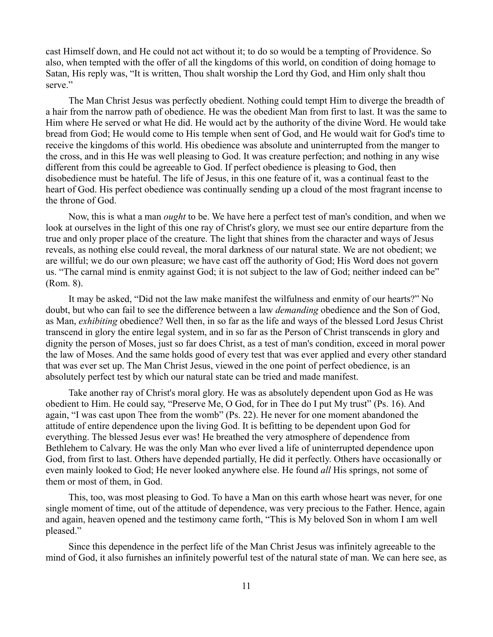cast Himself down, and He could not act without it; to do so would be a tempting of Providence. So also, when tempted with the offer of all the kingdoms of this world, on condition of doing homage to Satan, His reply was, "It is written, Thou shalt worship the Lord thy God, and Him only shalt thou serve."

The Man Christ Jesus was perfectly obedient. Nothing could tempt Him to diverge the breadth of a hair from the narrow path of obedience. He was the obedient Man from first to last. It was the same to Him where He served or what He did. He would act by the authority of the divine Word. He would take bread from God; He would come to His temple when sent of God, and He would wait for God's time to receive the kingdoms of this world. His obedience was absolute and uninterrupted from the manger to the cross, and in this He was well pleasing to God. It was creature perfection; and nothing in any wise different from this could be agreeable to God. If perfect obedience is pleasing to God, then disobedience must be hateful. The life of Jesus, in this one feature of it, was a continual feast to the heart of God. His perfect obedience was continually sending up a cloud of the most fragrant incense to the throne of God.

Now, this is what a man *ought* to be. We have here a perfect test of man's condition, and when we look at ourselves in the light of this one ray of Christ's glory, we must see our entire departure from the true and only proper place of the creature. The light that shines from the character and ways of Jesus reveals, as nothing else could reveal, the moral darkness of our natural state. We are not obedient; we are willful; we do our own pleasure; we have cast off the authority of God; His Word does not govern us. "The carnal mind is enmity against God; it is not subject to the law of God; neither indeed can be" (Rom. 8).

It may be asked, "Did not the law make manifest the wilfulness and enmity of our hearts?" No doubt, but who can fail to see the difference between a law *demanding* obedience and the Son of God, as Man, *exhibiting* obedience? Well then, in so far as the life and ways of the blessed Lord Jesus Christ transcend in glory the entire legal system, and in so far as the Person of Christ transcends in glory and dignity the person of Moses, just so far does Christ, as a test of man's condition, exceed in moral power the law of Moses. And the same holds good of every test that was ever applied and every other standard that was ever set up. The Man Christ Jesus, viewed in the one point of perfect obedience, is an absolutely perfect test by which our natural state can be tried and made manifest.

Take another ray of Christ's moral glory. He was as absolutely dependent upon God as He was obedient to Him. He could say, "Preserve Me, O God, for in Thee do I put My trust" (Ps. 16). And again, "I was cast upon Thee from the womb" (Ps. 22). He never for one moment abandoned the attitude of entire dependence upon the living God. It is befitting to be dependent upon God for everything. The blessed Jesus ever was! He breathed the very atmosphere of dependence from Bethlehem to Calvary. He was the only Man who ever lived a life of uninterrupted dependence upon God, from first to last. Others have depended partially, He did it perfectly. Others have occasionally or even mainly looked to God; He never looked anywhere else. He found *all* His springs, not some of them or most of them, in God.

This, too, was most pleasing to God. To have a Man on this earth whose heart was never, for one single moment of time, out of the attitude of dependence, was very precious to the Father. Hence, again and again, heaven opened and the testimony came forth, "This is My beloved Son in whom I am well pleased."

Since this dependence in the perfect life of the Man Christ Jesus was infinitely agreeable to the mind of God, it also furnishes an infinitely powerful test of the natural state of man. We can here see, as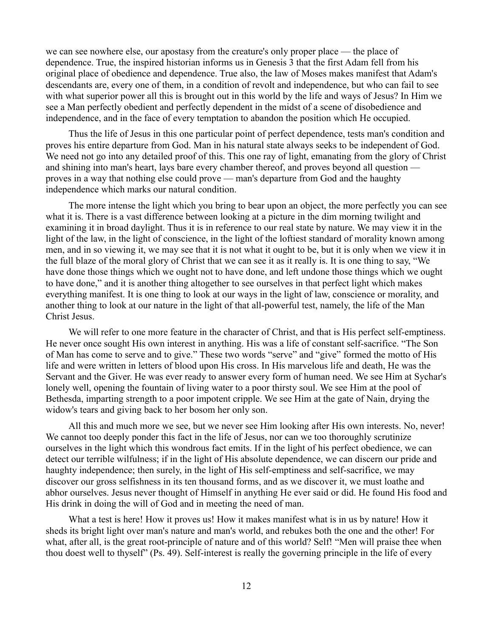we can see nowhere else, our apostasy from the creature's only proper place — the place of dependence. True, the inspired historian informs us in Genesis 3 that the first Adam fell from his original place of obedience and dependence. True also, the law of Moses makes manifest that Adam's descendants are, every one of them, in a condition of revolt and independence, but who can fail to see with what superior power all this is brought out in this world by the life and ways of Jesus? In Him we see a Man perfectly obedient and perfectly dependent in the midst of a scene of disobedience and independence, and in the face of every temptation to abandon the position which He occupied.

Thus the life of Jesus in this one particular point of perfect dependence, tests man's condition and proves his entire departure from God. Man in his natural state always seeks to be independent of God. We need not go into any detailed proof of this. This one ray of light, emanating from the glory of Christ and shining into man's heart, lays bare every chamber thereof, and proves beyond all question proves in a way that nothing else could prove — man's departure from God and the haughty independence which marks our natural condition.

The more intense the light which you bring to bear upon an object, the more perfectly you can see what it is. There is a vast difference between looking at a picture in the dim morning twilight and examining it in broad daylight. Thus it is in reference to our real state by nature. We may view it in the light of the law, in the light of conscience, in the light of the loftiest standard of morality known among men, and in so viewing it, we may see that it is not what it ought to be, but it is only when we view it in the full blaze of the moral glory of Christ that we can see it as it really is. It is one thing to say, "We have done those things which we ought not to have done, and left undone those things which we ought to have done," and it is another thing altogether to see ourselves in that perfect light which makes everything manifest. It is one thing to look at our ways in the light of law, conscience or morality, and another thing to look at our nature in the light of that all-powerful test, namely, the life of the Man Christ Jesus.

We will refer to one more feature in the character of Christ, and that is His perfect self-emptiness. He never once sought His own interest in anything. His was a life of constant self-sacrifice. "The Son of Man has come to serve and to give." These two words "serve" and "give" formed the motto of His life and were written in letters of blood upon His cross. In His marvelous life and death, He was the Servant and the Giver. He was ever ready to answer every form of human need. We see Him at Sychar's lonely well, opening the fountain of living water to a poor thirsty soul. We see Him at the pool of Bethesda, imparting strength to a poor impotent cripple. We see Him at the gate of Nain, drying the widow's tears and giving back to her bosom her only son.

All this and much more we see, but we never see Him looking after His own interests. No, never! We cannot too deeply ponder this fact in the life of Jesus, nor can we too thoroughly scrutinize ourselves in the light which this wondrous fact emits. If in the light of his perfect obedience, we can detect our terrible wilfulness; if in the light of His absolute dependence, we can discern our pride and haughty independence; then surely, in the light of His self-emptiness and self-sacrifice, we may discover our gross selfishness in its ten thousand forms, and as we discover it, we must loathe and abhor ourselves. Jesus never thought of Himself in anything He ever said or did. He found His food and His drink in doing the will of God and in meeting the need of man.

What a test is here! How it proves us! How it makes manifest what is in us by nature! How it sheds its bright light over man's nature and man's world, and rebukes both the one and the other! For what, after all, is the great root-principle of nature and of this world? Self! "Men will praise thee when thou doest well to thyself" (Ps. 49). Self-interest is really the governing principle in the life of every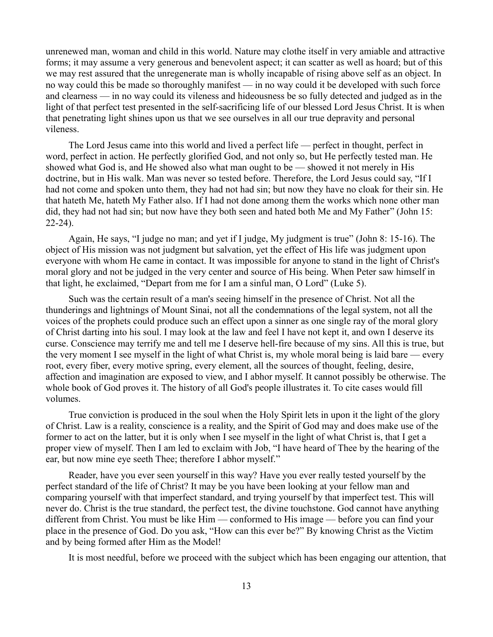unrenewed man, woman and child in this world. Nature may clothe itself in very amiable and attractive forms; it may assume a very generous and benevolent aspect; it can scatter as well as hoard; but of this we may rest assured that the unregenerate man is wholly incapable of rising above self as an object. In no way could this be made so thoroughly manifest — in no way could it be developed with such force and clearness — in no way could its vileness and hideousness be so fully detected and judged as in the light of that perfect test presented in the self-sacrificing life of our blessed Lord Jesus Christ. It is when that penetrating light shines upon us that we see ourselves in all our true depravity and personal vileness.

The Lord Jesus came into this world and lived a perfect life — perfect in thought, perfect in word, perfect in action. He perfectly glorified God, and not only so, but He perfectly tested man. He showed what God is, and He showed also what man ought to be — showed it not merely in His doctrine, but in His walk. Man was never so tested before. Therefore, the Lord Jesus could say, "If I had not come and spoken unto them, they had not had sin; but now they have no cloak for their sin. He that hateth Me, hateth My Father also. If I had not done among them the works which none other man did, they had not had sin; but now have they both seen and hated both Me and My Father" (John 15: 22-24).

Again, He says, "I judge no man; and yet if I judge, My judgment is true" (John 8: 15-16). The object of His mission was not judgment but salvation, yet the effect of His life was judgment upon everyone with whom He came in contact. It was impossible for anyone to stand in the light of Christ's moral glory and not be judged in the very center and source of His being. When Peter saw himself in that light, he exclaimed, "Depart from me for I am a sinful man, O Lord" (Luke 5).

Such was the certain result of a man's seeing himself in the presence of Christ. Not all the thunderings and lightnings of Mount Sinai, not all the condemnations of the legal system, not all the voices of the prophets could produce such an effect upon a sinner as one single ray of the moral glory of Christ darting into his soul. I may look at the law and feel I have not kept it, and own I deserve its curse. Conscience may terrify me and tell me I deserve hell-fire because of my sins. All this is true, but the very moment I see myself in the light of what Christ is, my whole moral being is laid bare — every root, every fiber, every motive spring, every element, all the sources of thought, feeling, desire, affection and imagination are exposed to view, and I abhor myself. It cannot possibly be otherwise. The whole book of God proves it. The history of all God's people illustrates it. To cite cases would fill volumes.

True conviction is produced in the soul when the Holy Spirit lets in upon it the light of the glory of Christ. Law is a reality, conscience is a reality, and the Spirit of God may and does make use of the former to act on the latter, but it is only when I see myself in the light of what Christ is, that I get a proper view of myself. Then I am led to exclaim with Job, "I have heard of Thee by the hearing of the ear, but now mine eye seeth Thee; therefore I abhor myself."

Reader, have you ever seen yourself in this way? Have you ever really tested yourself by the perfect standard of the life of Christ? It may be you have been looking at your fellow man and comparing yourself with that imperfect standard, and trying yourself by that imperfect test. This will never do. Christ is the true standard, the perfect test, the divine touchstone. God cannot have anything different from Christ. You must be like Him — conformed to His image — before you can find your place in the presence of God. Do you ask, "How can this ever be?" By knowing Christ as the Victim and by being formed after Him as the Model!

It is most needful, before we proceed with the subject which has been engaging our attention, that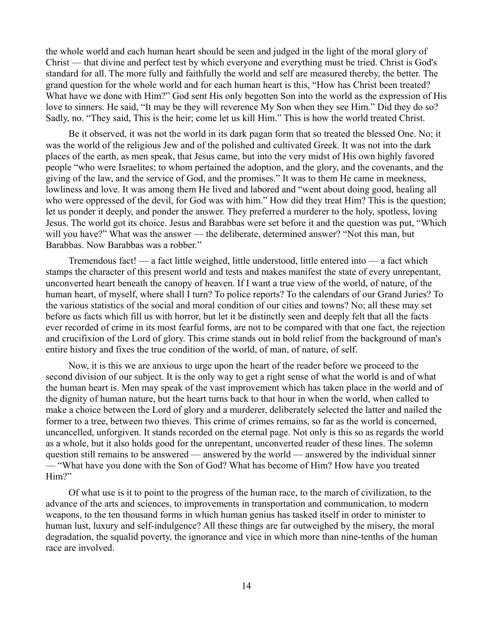the whole world and each human heart should be seen and judged in the light of the moral glory of Christ — that divine and perfect test by which everyone and everything must be tried. Christ is God's standard for all. The more fully and faithfully the world and self are measured thereby, the better. The grand question for the whole world and for each human heart is this, "How has Christ been treated? What have we done with Him?" God sent His only begotten Son into the world as the expression of His love to sinners. He said, "It may be they will reverence My Son when they see Him." Did they do so? Sadly, no. "They said, This is the heir; come let us kill Him." This is how the world treated Christ.

Be it observed, it was not the world in its dark pagan form that so treated the blessed One. No; it was the world of the religious Jew and of the polished and cultivated Greek. It was not into the dark places of the earth, as men speak, that Jesus came, but into the very midst of His own highly favored people "who were Israelites; to whom pertained the adoption, and the glory, and the covenants, and the giving of the law, and the service of God, and the promises." It was to them He came in meekness, lowliness and love. It was among them He lived and labored and "went about doing good, healing all who were oppressed of the devil, for God was with him." How did they treat Him? This is the question; let us ponder it deeply, and ponder the answer. They preferred a murderer to the holy, spotless, loving Jesus. The world got its choice. Jesus and Barabbas were set before it and the question was put, "Which will you have?" What was the answer — the deliberate, determined answer? "Not this man, but Barabbas. Now Barabbas was a robber."

Tremendous fact! — a fact little weighed, little understood, little entered into — a fact which stamps the character of this present world and tests and makes manifest the state of every unrepentant, unconverted heart beneath the canopy of heaven. If I want a true view of the world, of nature, of the human heart, of myself, where shall I turn? To police reports? To the calendars of our Grand Juries? To the various statistics of the social and moral condition of our cities and towns? No; all these may set before us facts which fill us with horror, but let it be distinctly seen and deeply felt that all the facts ever recorded of crime in its most fearful forms, are not to be compared with that one fact, the rejection and crucifixion of the Lord of glory. This crime stands out in bold relief from the background of man's entire history and fixes the true condition of the world, of man, of nature, of self.

Now, it is this we are anxious to urge upon the heart of the reader before we proceed to the second division of our subject. It is the only way to get a right sense of what the world is and of what the human heart is. Men may speak of the vast improvement which has taken place in the world and of the dignity of human nature, but the heart turns back to that hour in when the world, when called to make a choice between the Lord of glory and a murderer, deliberately selected the latter and nailed the former to a tree, between two thieves. This crime of crimes remains, so far as the world is concerned, uncancelled, unforgiven. It stands recorded on the eternal page. Not only is this so as regards the world as a whole, but it also holds good for the unrepentant, unconverted reader of these lines. The solemn question still remains to be answered — answered by the world — answered by the individual sinner — "What have you done with the Son of God? What has become of Him? How have you treated Him?"

Of what use is it to point to the progress of the human race, to the march of civilization, to the advance of the arts and sciences, to improvements in transportation and communication, to modern weapons, to the ten thousand forms in which human genius has tasked itself in order to minister to human lust, luxury and self-indulgence? All these things are far outweighed by the misery, the moral degradation, the squalid poverty, the ignorance and vice in which more than nine-tenths of the human race are involved.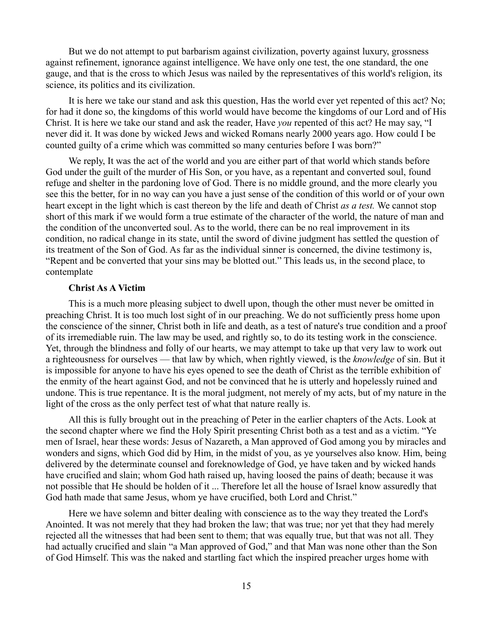But we do not attempt to put barbarism against civilization, poverty against luxury, grossness against refinement, ignorance against intelligence. We have only one test, the one standard, the one gauge, and that is the cross to which Jesus was nailed by the representatives of this world's religion, its science, its politics and its civilization.

It is here we take our stand and ask this question, Has the world ever yet repented of this act? No; for had it done so, the kingdoms of this world would have become the kingdoms of our Lord and of His Christ. It is here we take our stand and ask the reader, Have *you* repented of this act? He may say, "I never did it. It was done by wicked Jews and wicked Romans nearly 2000 years ago. How could I be counted guilty of a crime which was committed so many centuries before I was born?"

We reply, It was the act of the world and you are either part of that world which stands before God under the guilt of the murder of His Son, or you have, as a repentant and converted soul, found refuge and shelter in the pardoning love of God. There is no middle ground, and the more clearly you see this the better, for in no way can you have a just sense of the condition of this world or of your own heart except in the light which is cast thereon by the life and death of Christ *as a test.* We cannot stop short of this mark if we would form a true estimate of the character of the world, the nature of man and the condition of the unconverted soul. As to the world, there can be no real improvement in its condition, no radical change in its state, until the sword of divine judgment has settled the question of its treatment of the Son of God. As far as the individual sinner is concerned, the divine testimony is, "Repent and be converted that your sins may be blotted out." This leads us, in the second place, to contemplate

#### **Christ As A Victim**

This is a much more pleasing subject to dwell upon, though the other must never be omitted in preaching Christ. It is too much lost sight of in our preaching. We do not sufficiently press home upon the conscience of the sinner, Christ both in life and death, as a test of nature's true condition and a proof of its irremediable ruin. The law may be used, and rightly so, to do its testing work in the conscience. Yet, through the blindness and folly of our hearts, we may attempt to take up that very law to work out a righteousness for ourselves — that law by which, when rightly viewed, is the *knowledge* of sin. But it is impossible for anyone to have his eyes opened to see the death of Christ as the terrible exhibition of the enmity of the heart against God, and not be convinced that he is utterly and hopelessly ruined and undone. This is true repentance. It is the moral judgment, not merely of my acts, but of my nature in the light of the cross as the only perfect test of what that nature really is.

All this is fully brought out in the preaching of Peter in the earlier chapters of the Acts. Look at the second chapter where we find the Holy Spirit presenting Christ both as a test and as a victim. "Ye men of Israel, hear these words: Jesus of Nazareth, a Man approved of God among you by miracles and wonders and signs, which God did by Him, in the midst of you, as ye yourselves also know. Him, being delivered by the determinate counsel and foreknowledge of God, ye have taken and by wicked hands have crucified and slain; whom God hath raised up, having loosed the pains of death; because it was not possible that He should be holden of it ... Therefore let all the house of Israel know assuredly that God hath made that same Jesus, whom ye have crucified, both Lord and Christ."

Here we have solemn and bitter dealing with conscience as to the way they treated the Lord's Anointed. It was not merely that they had broken the law; that was true; nor yet that they had merely rejected all the witnesses that had been sent to them; that was equally true, but that was not all. They had actually crucified and slain "a Man approved of God," and that Man was none other than the Son of God Himself. This was the naked and startling fact which the inspired preacher urges home with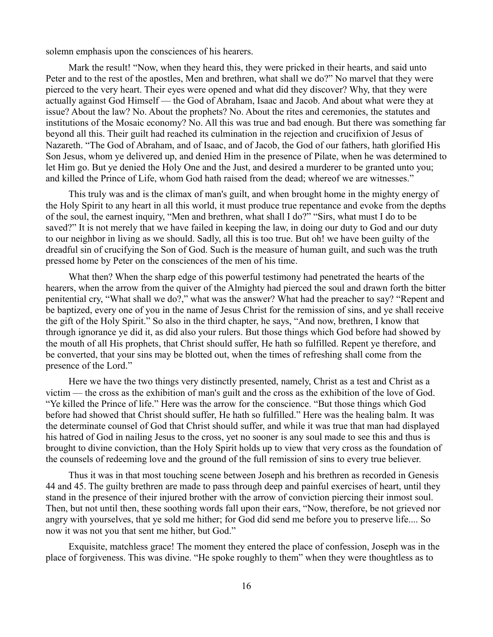solemn emphasis upon the consciences of his hearers.

Mark the result! "Now, when they heard this, they were pricked in their hearts, and said unto Peter and to the rest of the apostles, Men and brethren, what shall we do?" No marvel that they were pierced to the very heart. Their eyes were opened and what did they discover? Why, that they were actually against God Himself — the God of Abraham, Isaac and Jacob. And about what were they at issue? About the law? No. About the prophets? No. About the rites and ceremonies, the statutes and institutions of the Mosaic economy? No. All this was true and bad enough. But there was something far beyond all this. Their guilt had reached its culmination in the rejection and crucifixion of Jesus of Nazareth. "The God of Abraham, and of Isaac, and of Jacob, the God of our fathers, hath glorified His Son Jesus, whom ye delivered up, and denied Him in the presence of Pilate, when he was determined to let Him go. But ye denied the Holy One and the Just, and desired a murderer to be granted unto you; and killed the Prince of Life, whom God hath raised from the dead; whereof we are witnesses."

This truly was and is the climax of man's guilt, and when brought home in the mighty energy of the Holy Spirit to any heart in all this world, it must produce true repentance and evoke from the depths of the soul, the earnest inquiry, "Men and brethren, what shall I do?" "Sirs, what must I do to be saved?" It is not merely that we have failed in keeping the law, in doing our duty to God and our duty to our neighbor in living as we should. Sadly, all this is too true. But oh! we have been guilty of the dreadful sin of crucifying the Son of God. Such is the measure of human guilt, and such was the truth pressed home by Peter on the consciences of the men of his time.

What then? When the sharp edge of this powerful testimony had penetrated the hearts of the hearers, when the arrow from the quiver of the Almighty had pierced the soul and drawn forth the bitter penitential cry, "What shall we do?," what was the answer? What had the preacher to say? "Repent and be baptized, every one of you in the name of Jesus Christ for the remission of sins, and ye shall receive the gift of the Holy Spirit." So also in the third chapter, he says, "And now, brethren, I know that through ignorance ye did it, as did also your rulers. But those things which God before had showed by the mouth of all His prophets, that Christ should suffer, He hath so fulfilled. Repent ye therefore, and be converted, that your sins may be blotted out, when the times of refreshing shall come from the presence of the Lord."

Here we have the two things very distinctly presented, namely, Christ as a test and Christ as a victim — the cross as the exhibition of man's guilt and the cross as the exhibition of the love of God. "Ye killed the Prince of life." Here was the arrow for the conscience. "But those things which God before had showed that Christ should suffer, He hath so fulfilled." Here was the healing balm. It was the determinate counsel of God that Christ should suffer, and while it was true that man had displayed his hatred of God in nailing Jesus to the cross, yet no sooner is any soul made to see this and thus is brought to divine conviction, than the Holy Spirit holds up to view that very cross as the foundation of the counsels of redeeming love and the ground of the full remission of sins to every true believer.

Thus it was in that most touching scene between Joseph and his brethren as recorded in Genesis 44 and 45. The guilty brethren are made to pass through deep and painful exercises of heart, until they stand in the presence of their injured brother with the arrow of conviction piercing their inmost soul. Then, but not until then, these soothing words fall upon their ears, "Now, therefore, be not grieved nor angry with yourselves, that ye sold me hither; for God did send me before you to preserve life.... So now it was not you that sent me hither, but God."

Exquisite, matchless grace! The moment they entered the place of confession, Joseph was in the place of forgiveness. This was divine. "He spoke roughly to them" when they were thoughtless as to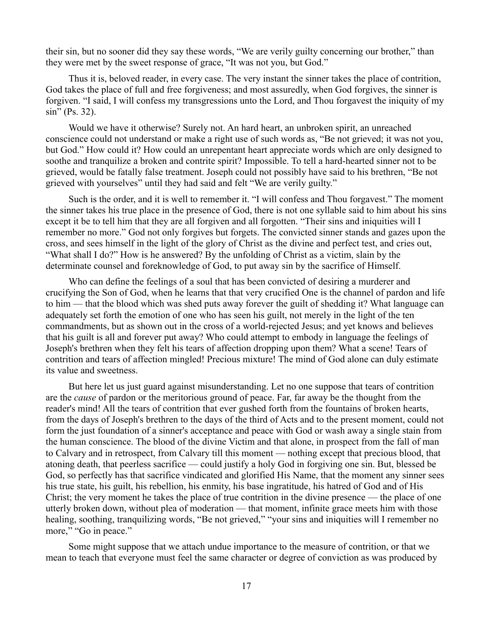their sin, but no sooner did they say these words, "We are verily guilty concerning our brother," than they were met by the sweet response of grace, "It was not you, but God."

Thus it is, beloved reader, in every case. The very instant the sinner takes the place of contrition, God takes the place of full and free forgiveness; and most assuredly, when God forgives, the sinner is forgiven. "I said, I will confess my transgressions unto the Lord, and Thou forgavest the iniquity of my sin" (Ps. 32).

Would we have it otherwise? Surely not. An hard heart, an unbroken spirit, an unreached conscience could not understand or make a right use of such words as, "Be not grieved; it was not you, but God." How could it? How could an unrepentant heart appreciate words which are only designed to soothe and tranquilize a broken and contrite spirit? Impossible. To tell a hard-hearted sinner not to be grieved, would be fatally false treatment. Joseph could not possibly have said to his brethren, "Be not grieved with yourselves" until they had said and felt "We are verily guilty."

Such is the order, and it is well to remember it. "I will confess and Thou forgavest." The moment the sinner takes his true place in the presence of God, there is not one syllable said to him about his sins except it be to tell him that they are all forgiven and all forgotten. "Their sins and iniquities will I remember no more." God not only forgives but forgets. The convicted sinner stands and gazes upon the cross, and sees himself in the light of the glory of Christ as the divine and perfect test, and cries out, "What shall I do?" How is he answered? By the unfolding of Christ as a victim, slain by the determinate counsel and foreknowledge of God, to put away sin by the sacrifice of Himself.

Who can define the feelings of a soul that has been convicted of desiring a murderer and crucifying the Son of God, when he learns that that very crucified One is the channel of pardon and life to him — that the blood which was shed puts away forever the guilt of shedding it? What language can adequately set forth the emotion of one who has seen his guilt, not merely in the light of the ten commandments, but as shown out in the cross of a world-rejected Jesus; and yet knows and believes that his guilt is all and forever put away? Who could attempt to embody in language the feelings of Joseph's brethren when they felt his tears of affection dropping upon them? What a scene! Tears of contrition and tears of affection mingled! Precious mixture! The mind of God alone can duly estimate its value and sweetness.

But here let us just guard against misunderstanding. Let no one suppose that tears of contrition are the *cause* of pardon or the meritorious ground of peace. Far, far away be the thought from the reader's mind! All the tears of contrition that ever gushed forth from the fountains of broken hearts, from the days of Joseph's brethren to the days of the third of Acts and to the present moment, could not form the just foundation of a sinner's acceptance and peace with God or wash away a single stain from the human conscience. The blood of the divine Victim and that alone, in prospect from the fall of man to Calvary and in retrospect, from Calvary till this moment — nothing except that precious blood, that atoning death, that peerless sacrifice — could justify a holy God in forgiving one sin. But, blessed be God, so perfectly has that sacrifice vindicated and glorified His Name, that the moment any sinner sees his true state, his guilt, his rebellion, his enmity, his base ingratitude, his hatred of God and of His Christ; the very moment he takes the place of true contrition in the divine presence — the place of one utterly broken down, without plea of moderation — that moment, infinite grace meets him with those healing, soothing, tranquilizing words, "Be not grieved," "your sins and iniquities will I remember no more," "Go in peace."

Some might suppose that we attach undue importance to the measure of contrition, or that we mean to teach that everyone must feel the same character or degree of conviction as was produced by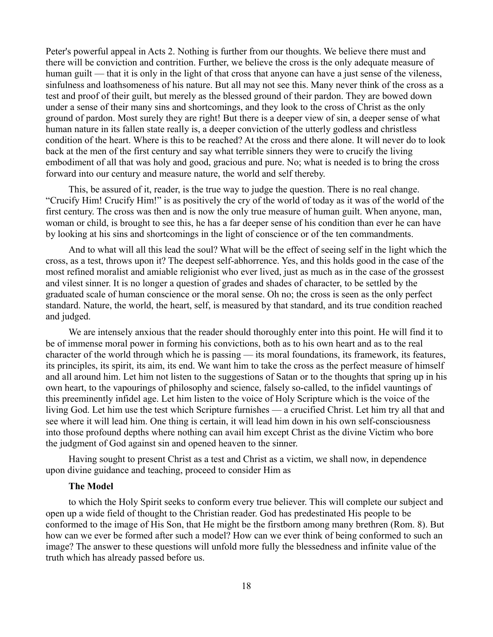Peter's powerful appeal in Acts 2. Nothing is further from our thoughts. We believe there must and there will be conviction and contrition. Further, we believe the cross is the only adequate measure of human guilt — that it is only in the light of that cross that anyone can have a just sense of the vileness, sinfulness and loathsomeness of his nature. But all may not see this. Many never think of the cross as a test and proof of their guilt, but merely as the blessed ground of their pardon. They are bowed down under a sense of their many sins and shortcomings, and they look to the cross of Christ as the only ground of pardon. Most surely they are right! But there is a deeper view of sin, a deeper sense of what human nature in its fallen state really is, a deeper conviction of the utterly godless and christless condition of the heart. Where is this to be reached? At the cross and there alone. It will never do to look back at the men of the first century and say what terrible sinners they were to crucify the living embodiment of all that was holy and good, gracious and pure. No; what is needed is to bring the cross forward into our century and measure nature, the world and self thereby.

This, be assured of it, reader, is the true way to judge the question. There is no real change. "Crucify Him! Crucify Him!" is as positively the cry of the world of today as it was of the world of the first century. The cross was then and is now the only true measure of human guilt. When anyone, man, woman or child, is brought to see this, he has a far deeper sense of his condition than ever he can have by looking at his sins and shortcomings in the light of conscience or of the ten commandments.

And to what will all this lead the soul? What will be the effect of seeing self in the light which the cross, as a test, throws upon it? The deepest self-abhorrence. Yes, and this holds good in the case of the most refined moralist and amiable religionist who ever lived, just as much as in the case of the grossest and vilest sinner. It is no longer a question of grades and shades of character, to be settled by the graduated scale of human conscience or the moral sense. Oh no; the cross is seen as the only perfect standard. Nature, the world, the heart, self, is measured by that standard, and its true condition reached and judged.

We are intensely anxious that the reader should thoroughly enter into this point. He will find it to be of immense moral power in forming his convictions, both as to his own heart and as to the real character of the world through which he is passing — its moral foundations, its framework, its features, its principles, its spirit, its aim, its end. We want him to take the cross as the perfect measure of himself and all around him. Let him not listen to the suggestions of Satan or to the thoughts that spring up in his own heart, to the vapourings of philosophy and science, falsely so-called, to the infidel vauntings of this preeminently infidel age. Let him listen to the voice of Holy Scripture which is the voice of the living God. Let him use the test which Scripture furnishes — a crucified Christ. Let him try all that and see where it will lead him. One thing is certain, it will lead him down in his own self-consciousness into those profound depths where nothing can avail him except Christ as the divine Victim who bore the judgment of God against sin and opened heaven to the sinner.

Having sought to present Christ as a test and Christ as a victim, we shall now, in dependence upon divine guidance and teaching, proceed to consider Him as

### **The Model**

to which the Holy Spirit seeks to conform every true believer. This will complete our subject and open up a wide field of thought to the Christian reader. God has predestinated His people to be conformed to the image of His Son, that He might be the firstborn among many brethren (Rom. 8). But how can we ever be formed after such a model? How can we ever think of being conformed to such an image? The answer to these questions will unfold more fully the blessedness and infinite value of the truth which has already passed before us.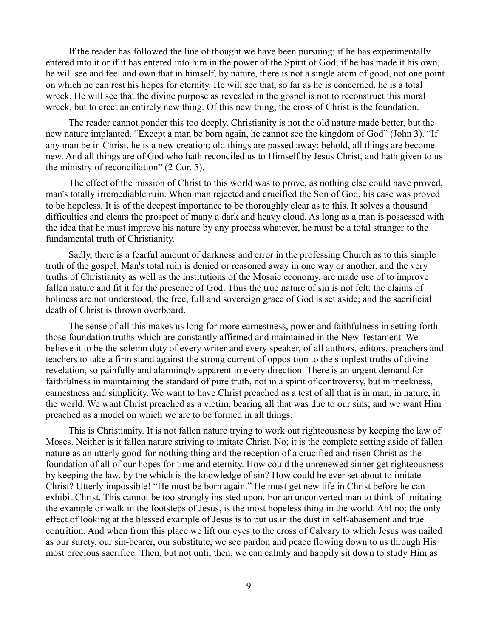If the reader has followed the line of thought we have been pursuing; if he has experimentally entered into it or if it has entered into him in the power of the Spirit of God; if he has made it his own, he will see and feel and own that in himself, by nature, there is not a single atom of good, not one point on which he can rest his hopes for eternity. He will see that, so far as he is concerned, he is a total wreck. He will see that the divine purpose as revealed in the gospel is not to reconstruct this moral wreck, but to erect an entirely new thing. Of this new thing, the cross of Christ is the foundation.

The reader cannot ponder this too deeply. Christianity is not the old nature made better, but the new nature implanted. "Except a man be born again, he cannot see the kingdom of God" (John 3). "If any man be in Christ, he is a new creation; old things are passed away; behold, all things are become new. And all things are of God who hath reconciled us to Himself by Jesus Christ, and hath given to us the ministry of reconciliation" (2 Cor. 5).

The effect of the mission of Christ to this world was to prove, as nothing else could have proved, man's totally irremediable ruin. When man rejected and crucified the Son of God, his case was proved to be hopeless. It is of the deepest importance to be thoroughly clear as to this. It solves a thousand difficulties and clears the prospect of many a dark and heavy cloud. As long as a man is possessed with the idea that he must improve his nature by any process whatever, he must be a total stranger to the fundamental truth of Christianity.

Sadly, there is a fearful amount of darkness and error in the professing Church as to this simple truth of the gospel. Man's total ruin is denied or reasoned away in one way or another, and the very truths of Christianity as well as the institutions of the Mosaic economy, are made use of to improve fallen nature and fit it for the presence of God. Thus the true nature of sin is not felt; the claims of holiness are not understood; the free, full and sovereign grace of God is set aside; and the sacrificial death of Christ is thrown overboard.

The sense of all this makes us long for more earnestness, power and faithfulness in setting forth those foundation truths which are constantly affirmed and maintained in the New Testament. We believe it to be the solemn duty of every writer and every speaker, of all authors, editors, preachers and teachers to take a firm stand against the strong current of opposition to the simplest truths of divine revelation, so painfully and alarmingly apparent in every direction. There is an urgent demand for faithfulness in maintaining the standard of pure truth, not in a spirit of controversy, but in meekness, earnestness and simplicity. We want to have Christ preached as a test of all that is in man, in nature, in the world. We want Christ preached as a victim, bearing all that was due to our sins; and we want Him preached as a model on which we are to be formed in all things.

This is Christianity. It is not fallen nature trying to work out righteousness by keeping the law of Moses. Neither is it fallen nature striving to imitate Christ. No; it is the complete setting aside of fallen nature as an utterly good-for-nothing thing and the reception of a crucified and risen Christ as the foundation of all of our hopes for time and eternity. How could the unrenewed sinner get righteousness by keeping the law, by the which is the knowledge of sin? How could he ever set about to imitate Christ? Utterly impossible! "He must be born again." He must get new life in Christ before he can exhibit Christ. This cannot be too strongly insisted upon. For an unconverted man to think of imitating the example or walk in the footsteps of Jesus, is the most hopeless thing in the world. Ah! no; the only effect of looking at the blessed example of Jesus is to put us in the dust in self-abasement and true contrition. And when from this place we lift our eyes to the cross of Calvary to which Jesus was nailed as our surety, our sin-bearer, our substitute, we see pardon and peace flowing down to us through His most precious sacrifice. Then, but not until then, we can calmly and happily sit down to study Him as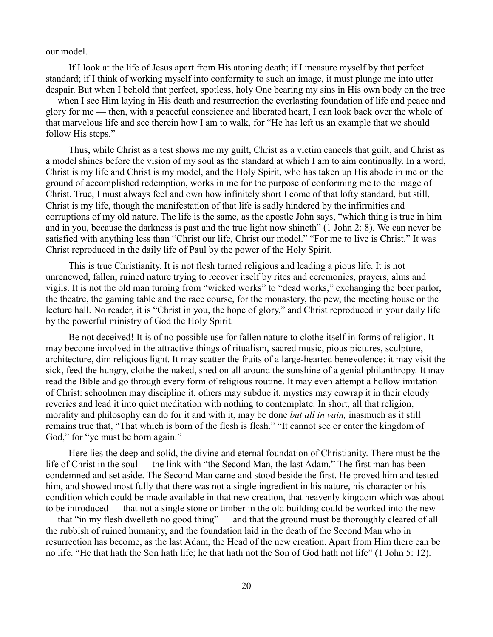our model.

If I look at the life of Jesus apart from His atoning death; if I measure myself by that perfect standard; if I think of working myself into conformity to such an image, it must plunge me into utter despair. But when I behold that perfect, spotless, holy One bearing my sins in His own body on the tree — when I see Him laying in His death and resurrection the everlasting foundation of life and peace and glory for me — then, with a peaceful conscience and liberated heart, I can look back over the whole of that marvelous life and see therein how I am to walk, for "He has left us an example that we should follow His steps."

Thus, while Christ as a test shows me my guilt, Christ as a victim cancels that guilt, and Christ as a model shines before the vision of my soul as the standard at which I am to aim continually. In a word, Christ is my life and Christ is my model, and the Holy Spirit, who has taken up His abode in me on the ground of accomplished redemption, works in me for the purpose of conforming me to the image of Christ. True, I must always feel and own how infinitely short I come of that lofty standard, but still, Christ is my life, though the manifestation of that life is sadly hindered by the infirmities and corruptions of my old nature. The life is the same, as the apostle John says, "which thing is true in him and in you, because the darkness is past and the true light now shineth" (1 John 2: 8). We can never be satisfied with anything less than "Christ our life, Christ our model." "For me to live is Christ." It was Christ reproduced in the daily life of Paul by the power of the Holy Spirit.

This is true Christianity. It is not flesh turned religious and leading a pious life. It is not unrenewed, fallen, ruined nature trying to recover itself by rites and ceremonies, prayers, alms and vigils. It is not the old man turning from "wicked works" to "dead works," exchanging the beer parlor, the theatre, the gaming table and the race course, for the monastery, the pew, the meeting house or the lecture hall. No reader, it is "Christ in you, the hope of glory," and Christ reproduced in your daily life by the powerful ministry of God the Holy Spirit.

Be not deceived! It is of no possible use for fallen nature to clothe itself in forms of religion. It may become involved in the attractive things of ritualism, sacred music, pious pictures, sculpture, architecture, dim religious light. It may scatter the fruits of a large-hearted benevolence: it may visit the sick, feed the hungry, clothe the naked, shed on all around the sunshine of a genial philanthropy. It may read the Bible and go through every form of religious routine. It may even attempt a hollow imitation of Christ: schoolmen may discipline it, others may subdue it, mystics may enwrap it in their cloudy reveries and lead it into quiet meditation with nothing to contemplate. In short, all that religion, morality and philosophy can do for it and with it, may be done *but all in vain,* inasmuch as it still remains true that, "That which is born of the flesh is flesh." "It cannot see or enter the kingdom of God," for "ye must be born again."

Here lies the deep and solid, the divine and eternal foundation of Christianity. There must be the life of Christ in the soul — the link with "the Second Man, the last Adam." The first man has been condemned and set aside. The Second Man came and stood beside the first. He proved him and tested him, and showed most fully that there was not a single ingredient in his nature, his character or his condition which could be made available in that new creation, that heavenly kingdom which was about to be introduced — that not a single stone or timber in the old building could be worked into the new — that "in my flesh dwelleth no good thing" — and that the ground must be thoroughly cleared of all the rubbish of ruined humanity, and the foundation laid in the death of the Second Man who in resurrection has become, as the last Adam, the Head of the new creation. Apart from Him there can be no life. "He that hath the Son hath life; he that hath not the Son of God hath not life" (1 John 5: 12).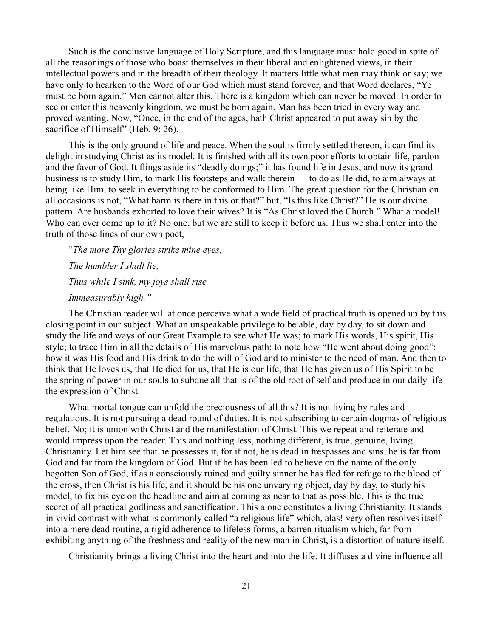Such is the conclusive language of Holy Scripture, and this language must hold good in spite of all the reasonings of those who boast themselves in their liberal and enlightened views, in their intellectual powers and in the breadth of their theology. It matters little what men may think or say; we have only to hearken to the Word of our God which must stand forever, and that Word declares, "Ye must be born again." Men cannot alter this. There is a kingdom which can never be moved. In order to see or enter this heavenly kingdom, we must be born again. Man has been tried in every way and proved wanting. Now, "Once, in the end of the ages, hath Christ appeared to put away sin by the sacrifice of Himself" (Heb. 9: 26).

This is the only ground of life and peace. When the soul is firmly settled thereon, it can find its delight in studying Christ as its model. It is finished with all its own poor efforts to obtain life, pardon and the favor of God. It flings aside its "deadly doings;" it has found life in Jesus, and now its grand business is to study Him, to mark His footsteps and walk therein — to do as He did, to aim always at being like Him, to seek in everything to be conformed to Him. The great question for the Christian on all occasions is not, "What harm is there in this or that?" but, "Is this like Christ?" He is our divine pattern. Are husbands exhorted to love their wives? It is "As Christ loved the Church." What a model! Who can ever come up to it? No one, but we are still to keep it before us. Thus we shall enter into the truth of those lines of our own poet,

"*The more Thy glories strike mine eyes, The humbler I shall lie, Thus while I sink, my joys shall rise Immeasurably high."* 

The Christian reader will at once perceive what a wide field of practical truth is opened up by this closing point in our subject. What an unspeakable privilege to be able, day by day, to sit down and study the life and ways of our Great Example to see what He was; to mark His words, His spirit, His style; to trace Him in all the details of His marvelous path; to note how "He went about doing good"; how it was His food and His drink to do the will of God and to minister to the need of man. And then to think that He loves us, that He died for us, that He is our life, that He has given us of His Spirit to be the spring of power in our souls to subdue all that is of the old root of self and produce in our daily life the expression of Christ.

What mortal tongue can unfold the preciousness of all this? It is not living by rules and regulations. It is not pursuing a dead round of duties. It is not subscribing to certain dogmas of religious belief. No; it is union with Christ and the manifestation of Christ. This we repeat and reiterate and would impress upon the reader. This and nothing less, nothing different, is true, genuine, living Christianity. Let him see that he possesses it, for if not, he is dead in trespasses and sins, he is far from God and far from the kingdom of God. But if he has been led to believe on the name of the only begotten Son of God, if as a consciously ruined and guilty sinner he has fled for refuge to the blood of the cross, then Christ is his life, and it should be his one unvarying object, day by day, to study his model, to fix his eye on the headline and aim at coming as near to that as possible. This is the true secret of all practical godliness and sanctification. This alone constitutes a living Christianity. It stands in vivid contrast with what is commonly called "a religious life" which, alas! very often resolves itself into a mere dead routine, a rigid adherence to lifeless forms, a barren ritualism which, far from exhibiting anything of the freshness and reality of the new man in Christ, is a distortion of nature itself.

Christianity brings a living Christ into the heart and into the life. It diffuses a divine influence all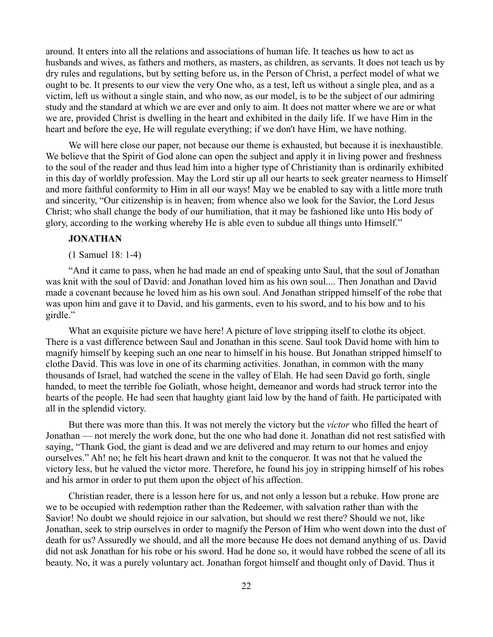around. It enters into all the relations and associations of human life. It teaches us how to act as husbands and wives, as fathers and mothers, as masters, as children, as servants. It does not teach us by dry rules and regulations, but by setting before us, in the Person of Christ, a perfect model of what we ought to be. It presents to our view the very One who, as a test, left us without a single plea, and as a victim, left us without a single stain, and who now, as our model, is to be the subject of our admiring study and the standard at which we are ever and only to aim. It does not matter where we are or what we are, provided Christ is dwelling in the heart and exhibited in the daily life. If we have Him in the heart and before the eye, He will regulate everything; if we don't have Him, we have nothing.

We will here close our paper, not because our theme is exhausted, but because it is inexhaustible. We believe that the Spirit of God alone can open the subject and apply it in living power and freshness to the soul of the reader and thus lead him into a higher type of Christianity than is ordinarily exhibited in this day of worldly profession. May the Lord stir up all our hearts to seek greater nearness to Himself and more faithful conformity to Him in all our ways! May we be enabled to say with a little more truth and sincerity, "Our citizenship is in heaven; from whence also we look for the Savior, the Lord Jesus Christ; who shall change the body of our humiliation, that it may be fashioned like unto His body of glory, according to the working whereby He is able even to subdue all things unto Himself."

# **JONATHAN**

#### (1 Samuel 18: 1-4)

"And it came to pass, when he had made an end of speaking unto Saul, that the soul of Jonathan was knit with the soul of David: and Jonathan loved him as his own soul.... Then Jonathan and David made a covenant because he loved him as his own soul. And Jonathan stripped himself of the robe that was upon him and gave it to David, and his garments, even to his sword, and to his bow and to his girdle."

What an exquisite picture we have here! A picture of love stripping itself to clothe its object. There is a vast difference between Saul and Jonathan in this scene. Saul took David home with him to magnify himself by keeping such an one near to himself in his house. But Jonathan stripped himself to clothe David. This was love in one of its charming activities. Jonathan, in common with the many thousands of Israel, had watched the scene in the valley of Elah. He had seen David go forth, single handed, to meet the terrible foe Goliath, whose height, demeanor and words had struck terror into the hearts of the people. He had seen that haughty giant laid low by the hand of faith. He participated with all in the splendid victory.

But there was more than this. It was not merely the victory but the *victor* who filled the heart of Jonathan — not merely the work done, but the one who had done it. Jonathan did not rest satisfied with saying, "Thank God, the giant is dead and we are delivered and may return to our homes and enjoy ourselves." Ah! no; he felt his heart drawn and knit to the conqueror. It was not that he valued the victory less, but he valued the victor more. Therefore, he found his joy in stripping himself of his robes and his armor in order to put them upon the object of his affection.

Christian reader, there is a lesson here for us, and not only a lesson but a rebuke. How prone are we to be occupied with redemption rather than the Redeemer, with salvation rather than with the Savior! No doubt we should rejoice in our salvation, but should we rest there? Should we not, like Jonathan, seek to strip ourselves in order to magnify the Person of Him who went down into the dust of death for us? Assuredly we should, and all the more because He does not demand anything of us. David did not ask Jonathan for his robe or his sword. Had he done so, it would have robbed the scene of all its beauty. No, it was a purely voluntary act. Jonathan forgot himself and thought only of David. Thus it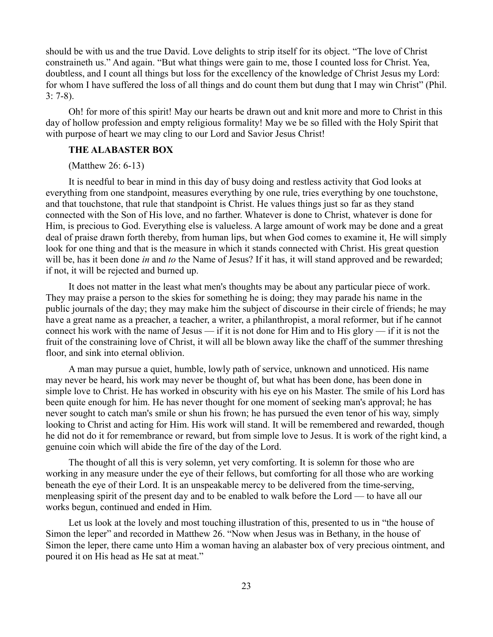should be with us and the true David. Love delights to strip itself for its object. "The love of Christ constraineth us." And again. "But what things were gain to me, those I counted loss for Christ. Yea, doubtless, and I count all things but loss for the excellency of the knowledge of Christ Jesus my Lord: for whom I have suffered the loss of all things and do count them but dung that I may win Christ" (Phil. 3: 7-8).

Oh! for more of this spirit! May our hearts be drawn out and knit more and more to Christ in this day of hollow profession and empty religious formality! May we be so filled with the Holy Spirit that with purpose of heart we may cling to our Lord and Savior Jesus Christ!

## **THE ALABASTER BOX**

#### (Matthew 26: 6-13)

It is needful to bear in mind in this day of busy doing and restless activity that God looks at everything from one standpoint, measures everything by one rule, tries everything by one touchstone, and that touchstone, that rule that standpoint is Christ. He values things just so far as they stand connected with the Son of His love, and no farther. Whatever is done to Christ, whatever is done for Him, is precious to God. Everything else is valueless. A large amount of work may be done and a great deal of praise drawn forth thereby, from human lips, but when God comes to examine it, He will simply look for one thing and that is the measure in which it stands connected with Christ. His great question will be, has it been done *in* and *to* the Name of Jesus? If it has, it will stand approved and be rewarded; if not, it will be rejected and burned up.

It does not matter in the least what men's thoughts may be about any particular piece of work. They may praise a person to the skies for something he is doing; they may parade his name in the public journals of the day; they may make him the subject of discourse in their circle of friends; he may have a great name as a preacher, a teacher, a writer, a philanthropist, a moral reformer, but if he cannot connect his work with the name of Jesus — if it is not done for Him and to His glory — if it is not the fruit of the constraining love of Christ, it will all be blown away like the chaff of the summer threshing floor, and sink into eternal oblivion.

A man may pursue a quiet, humble, lowly path of service, unknown and unnoticed. His name may never be heard, his work may never be thought of, but what has been done, has been done in simple love to Christ. He has worked in obscurity with his eye on his Master. The smile of his Lord has been quite enough for him. He has never thought for one moment of seeking man's approval; he has never sought to catch man's smile or shun his frown; he has pursued the even tenor of his way, simply looking to Christ and acting for Him. His work will stand. It will be remembered and rewarded, though he did not do it for remembrance or reward, but from simple love to Jesus. It is work of the right kind, a genuine coin which will abide the fire of the day of the Lord.

The thought of all this is very solemn, yet very comforting. It is solemn for those who are working in any measure under the eye of their fellows, but comforting for all those who are working beneath the eye of their Lord. It is an unspeakable mercy to be delivered from the time-serving, menpleasing spirit of the present day and to be enabled to walk before the Lord — to have all our works begun, continued and ended in Him.

Let us look at the lovely and most touching illustration of this, presented to us in "the house of Simon the leper" and recorded in Matthew 26. "Now when Jesus was in Bethany, in the house of Simon the leper, there came unto Him a woman having an alabaster box of very precious ointment, and poured it on His head as He sat at meat."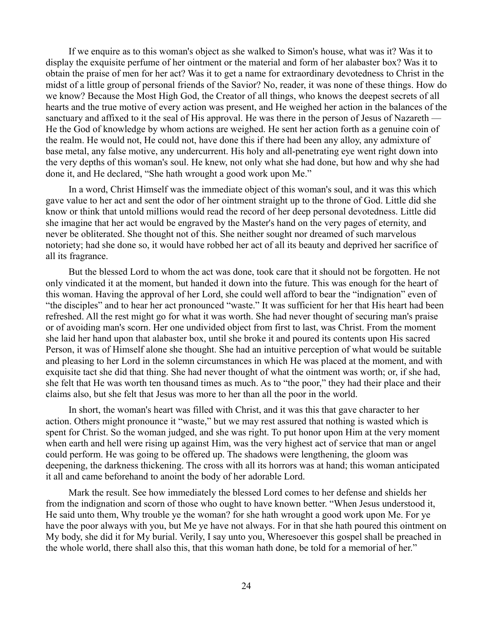If we enquire as to this woman's object as she walked to Simon's house, what was it? Was it to display the exquisite perfume of her ointment or the material and form of her alabaster box? Was it to obtain the praise of men for her act? Was it to get a name for extraordinary devotedness to Christ in the midst of a little group of personal friends of the Savior? No, reader, it was none of these things. How do we know? Because the Most High God, the Creator of all things, who knows the deepest secrets of all hearts and the true motive of every action was present, and He weighed her action in the balances of the sanctuary and affixed to it the seal of His approval. He was there in the person of Jesus of Nazareth — He the God of knowledge by whom actions are weighed. He sent her action forth as a genuine coin of the realm. He would not, He could not, have done this if there had been any alloy, any admixture of base metal, any false motive, any undercurrent. His holy and all-penetrating eye went right down into the very depths of this woman's soul. He knew, not only what she had done, but how and why she had done it, and He declared, "She hath wrought a good work upon Me."

In a word, Christ Himself was the immediate object of this woman's soul, and it was this which gave value to her act and sent the odor of her ointment straight up to the throne of God. Little did she know or think that untold millions would read the record of her deep personal devotedness. Little did she imagine that her act would be engraved by the Master's hand on the very pages of eternity, and never be obliterated. She thought not of this. She neither sought nor dreamed of such marvelous notoriety; had she done so, it would have robbed her act of all its beauty and deprived her sacrifice of all its fragrance.

But the blessed Lord to whom the act was done, took care that it should not be forgotten. He not only vindicated it at the moment, but handed it down into the future. This was enough for the heart of this woman. Having the approval of her Lord, she could well afford to bear the "indignation" even of "the disciples" and to hear her act pronounced "waste." It was sufficient for her that His heart had been refreshed. All the rest might go for what it was worth. She had never thought of securing man's praise or of avoiding man's scorn. Her one undivided object from first to last, was Christ. From the moment she laid her hand upon that alabaster box, until she broke it and poured its contents upon His sacred Person, it was of Himself alone she thought. She had an intuitive perception of what would be suitable and pleasing to her Lord in the solemn circumstances in which He was placed at the moment, and with exquisite tact she did that thing. She had never thought of what the ointment was worth; or, if she had, she felt that He was worth ten thousand times as much. As to "the poor," they had their place and their claims also, but she felt that Jesus was more to her than all the poor in the world.

In short, the woman's heart was filled with Christ, and it was this that gave character to her action. Others might pronounce it "waste," but we may rest assured that nothing is wasted which is spent for Christ. So the woman judged, and she was right. To put honor upon Him at the very moment when earth and hell were rising up against Him, was the very highest act of service that man or angel could perform. He was going to be offered up. The shadows were lengthening, the gloom was deepening, the darkness thickening. The cross with all its horrors was at hand; this woman anticipated it all and came beforehand to anoint the body of her adorable Lord.

Mark the result. See how immediately the blessed Lord comes to her defense and shields her from the indignation and scorn of those who ought to have known better. "When Jesus understood it, He said unto them, Why trouble ye the woman? for she hath wrought a good work upon Me. For ye have the poor always with you, but Me ye have not always. For in that she hath poured this ointment on My body, she did it for My burial. Verily, I say unto you, Wheresoever this gospel shall be preached in the whole world, there shall also this, that this woman hath done, be told for a memorial of her."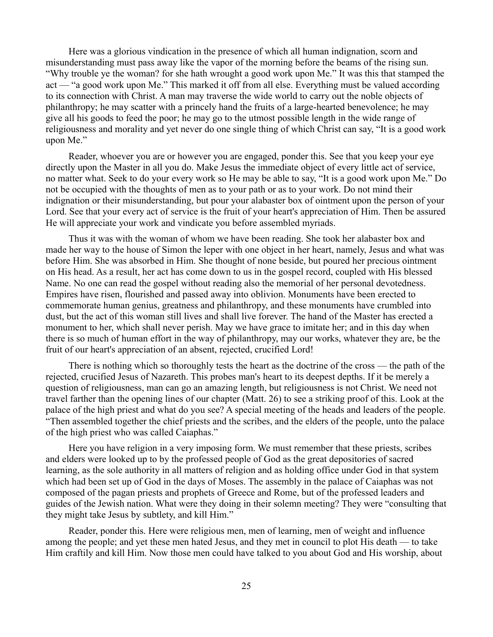Here was a glorious vindication in the presence of which all human indignation, scorn and misunderstanding must pass away like the vapor of the morning before the beams of the rising sun. "Why trouble ye the woman? for she hath wrought a good work upon Me." It was this that stamped the act — "a good work upon Me." This marked it off from all else. Everything must be valued according to its connection with Christ. A man may traverse the wide world to carry out the noble objects of philanthropy; he may scatter with a princely hand the fruits of a large-hearted benevolence; he may give all his goods to feed the poor; he may go to the utmost possible length in the wide range of religiousness and morality and yet never do one single thing of which Christ can say, "It is a good work upon Me."

Reader, whoever you are or however you are engaged, ponder this. See that you keep your eye directly upon the Master in all you do. Make Jesus the immediate object of every little act of service, no matter what. Seek to do your every work so He may be able to say, "It is a good work upon Me." Do not be occupied with the thoughts of men as to your path or as to your work. Do not mind their indignation or their misunderstanding, but pour your alabaster box of ointment upon the person of your Lord. See that your every act of service is the fruit of your heart's appreciation of Him. Then be assured He will appreciate your work and vindicate you before assembled myriads.

Thus it was with the woman of whom we have been reading. She took her alabaster box and made her way to the house of Simon the leper with one object in her heart, namely, Jesus and what was before Him. She was absorbed in Him. She thought of none beside, but poured her precious ointment on His head. As a result, her act has come down to us in the gospel record, coupled with His blessed Name. No one can read the gospel without reading also the memorial of her personal devotedness. Empires have risen, flourished and passed away into oblivion. Monuments have been erected to commemorate human genius, greatness and philanthropy, and these monuments have crumbled into dust, but the act of this woman still lives and shall live forever. The hand of the Master has erected a monument to her, which shall never perish. May we have grace to imitate her; and in this day when there is so much of human effort in the way of philanthropy, may our works, whatever they are, be the fruit of our heart's appreciation of an absent, rejected, crucified Lord!

There is nothing which so thoroughly tests the heart as the doctrine of the cross — the path of the rejected, crucified Jesus of Nazareth. This probes man's heart to its deepest depths. If it be merely a question of religiousness, man can go an amazing length, but religiousness is not Christ. We need not travel farther than the opening lines of our chapter (Matt. 26) to see a striking proof of this. Look at the palace of the high priest and what do you see? A special meeting of the heads and leaders of the people. "Then assembled together the chief priests and the scribes, and the elders of the people, unto the palace of the high priest who was called Caiaphas."

Here you have religion in a very imposing form. We must remember that these priests, scribes and elders were looked up to by the professed people of God as the great depositories of sacred learning, as the sole authority in all matters of religion and as holding office under God in that system which had been set up of God in the days of Moses. The assembly in the palace of Caiaphas was not composed of the pagan priests and prophets of Greece and Rome, but of the professed leaders and guides of the Jewish nation. What were they doing in their solemn meeting? They were "consulting that they might take Jesus by subtlety, and kill Him."

Reader, ponder this. Here were religious men, men of learning, men of weight and influence among the people; and yet these men hated Jesus, and they met in council to plot His death — to take Him craftily and kill Him. Now those men could have talked to you about God and His worship, about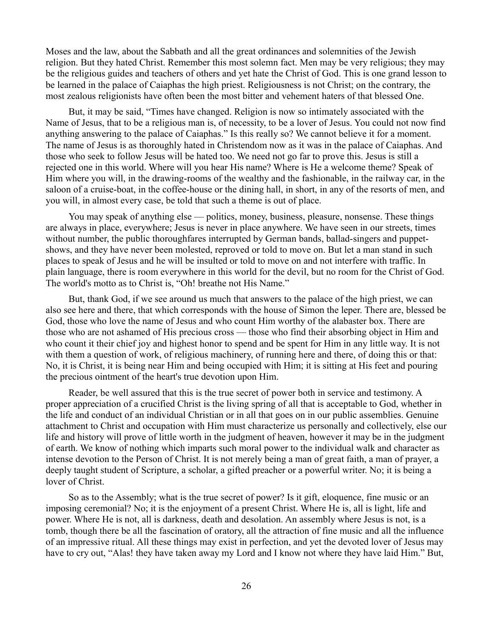Moses and the law, about the Sabbath and all the great ordinances and solemnities of the Jewish religion. But they hated Christ. Remember this most solemn fact. Men may be very religious; they may be the religious guides and teachers of others and yet hate the Christ of God. This is one grand lesson to be learned in the palace of Caiaphas the high priest. Religiousness is not Christ; on the contrary, the most zealous religionists have often been the most bitter and vehement haters of that blessed One.

But, it may be said, "Times have changed. Religion is now so intimately associated with the Name of Jesus, that to be a religious man is, of necessity, to be a lover of Jesus. You could not now find anything answering to the palace of Caiaphas." Is this really so? We cannot believe it for a moment. The name of Jesus is as thoroughly hated in Christendom now as it was in the palace of Caiaphas. And those who seek to follow Jesus will be hated too. We need not go far to prove this. Jesus is still a rejected one in this world. Where will you hear His name? Where is He a welcome theme? Speak of Him where you will, in the drawing-rooms of the wealthy and the fashionable, in the railway car, in the saloon of a cruise-boat, in the coffee-house or the dining hall, in short, in any of the resorts of men, and you will, in almost every case, be told that such a theme is out of place.

You may speak of anything else — politics, money, business, pleasure, nonsense. These things are always in place, everywhere; Jesus is never in place anywhere. We have seen in our streets, times without number, the public thoroughfares interrupted by German bands, ballad-singers and puppetshows, and they have never been molested, reproved or told to move on. But let a man stand in such places to speak of Jesus and he will be insulted or told to move on and not interfere with traffic. In plain language, there is room everywhere in this world for the devil, but no room for the Christ of God. The world's motto as to Christ is, "Oh! breathe not His Name."

But, thank God, if we see around us much that answers to the palace of the high priest, we can also see here and there, that which corresponds with the house of Simon the leper. There are, blessed be God, those who love the name of Jesus and who count Him worthy of the alabaster box. There are those who are not ashamed of His precious cross — those who find their absorbing object in Him and who count it their chief joy and highest honor to spend and be spent for Him in any little way. It is not with them a question of work, of religious machinery, of running here and there, of doing this or that: No, it is Christ, it is being near Him and being occupied with Him; it is sitting at His feet and pouring the precious ointment of the heart's true devotion upon Him.

Reader, be well assured that this is the true secret of power both in service and testimony. A proper appreciation of a crucified Christ is the living spring of all that is acceptable to God, whether in the life and conduct of an individual Christian or in all that goes on in our public assemblies. Genuine attachment to Christ and occupation with Him must characterize us personally and collectively, else our life and history will prove of little worth in the judgment of heaven, however it may be in the judgment of earth. We know of nothing which imparts such moral power to the individual walk and character as intense devotion to the Person of Christ. It is not merely being a man of great faith, a man of prayer, a deeply taught student of Scripture, a scholar, a gifted preacher or a powerful writer. No; it is being a lover of Christ.

So as to the Assembly; what is the true secret of power? Is it gift, eloquence, fine music or an imposing ceremonial? No; it is the enjoyment of a present Christ. Where He is, all is light, life and power. Where He is not, all is darkness, death and desolation. An assembly where Jesus is not, is a tomb, though there be all the fascination of oratory, all the attraction of fine music and all the influence of an impressive ritual. All these things may exist in perfection, and yet the devoted lover of Jesus may have to cry out, "Alas! they have taken away my Lord and I know not where they have laid Him." But,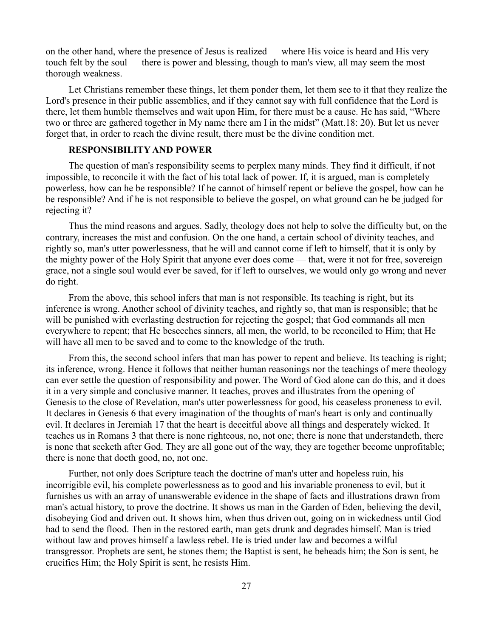on the other hand, where the presence of Jesus is realized — where His voice is heard and His very touch felt by the soul — there is power and blessing, though to man's view, all may seem the most thorough weakness.

Let Christians remember these things, let them ponder them, let them see to it that they realize the Lord's presence in their public assemblies, and if they cannot say with full confidence that the Lord is there, let them humble themselves and wait upon Him, for there must be a cause. He has said, "Where two or three are gathered together in My name there am I in the midst" (Matt.18: 20). But let us never forget that, in order to reach the divine result, there must be the divine condition met.

# **RESPONSIBILITY AND POWER**

The question of man's responsibility seems to perplex many minds. They find it difficult, if not impossible, to reconcile it with the fact of his total lack of power. If, it is argued, man is completely powerless, how can he be responsible? If he cannot of himself repent or believe the gospel, how can he be responsible? And if he is not responsible to believe the gospel, on what ground can he be judged for rejecting it?

Thus the mind reasons and argues. Sadly, theology does not help to solve the difficulty but, on the contrary, increases the mist and confusion. On the one hand, a certain school of divinity teaches, and rightly so, man's utter powerlessness, that he will and cannot come if left to himself, that it is only by the mighty power of the Holy Spirit that anyone ever does come — that, were it not for free, sovereign grace, not a single soul would ever be saved, for if left to ourselves, we would only go wrong and never do right.

From the above, this school infers that man is not responsible. Its teaching is right, but its inference is wrong. Another school of divinity teaches, and rightly so, that man is responsible; that he will be punished with everlasting destruction for rejecting the gospel; that God commands all men everywhere to repent; that He beseeches sinners, all men, the world, to be reconciled to Him; that He will have all men to be saved and to come to the knowledge of the truth.

From this, the second school infers that man has power to repent and believe. Its teaching is right; its inference, wrong. Hence it follows that neither human reasonings nor the teachings of mere theology can ever settle the question of responsibility and power. The Word of God alone can do this, and it does it in a very simple and conclusive manner. It teaches, proves and illustrates from the opening of Genesis to the close of Revelation, man's utter powerlessness for good, his ceaseless proneness to evil. It declares in Genesis 6 that every imagination of the thoughts of man's heart is only and continually evil. It declares in Jeremiah 17 that the heart is deceitful above all things and desperately wicked. It teaches us in Romans 3 that there is none righteous, no, not one; there is none that understandeth, there is none that seeketh after God. They are all gone out of the way, they are together become unprofitable; there is none that doeth good, no, not one.

Further, not only does Scripture teach the doctrine of man's utter and hopeless ruin, his incorrigible evil, his complete powerlessness as to good and his invariable proneness to evil, but it furnishes us with an array of unanswerable evidence in the shape of facts and illustrations drawn from man's actual history, to prove the doctrine. It shows us man in the Garden of Eden, believing the devil, disobeying God and driven out. It shows him, when thus driven out, going on in wickedness until God had to send the flood. Then in the restored earth, man gets drunk and degrades himself. Man is tried without law and proves himself a lawless rebel. He is tried under law and becomes a wilful transgressor. Prophets are sent, he stones them; the Baptist is sent, he beheads him; the Son is sent, he crucifies Him; the Holy Spirit is sent, he resists Him.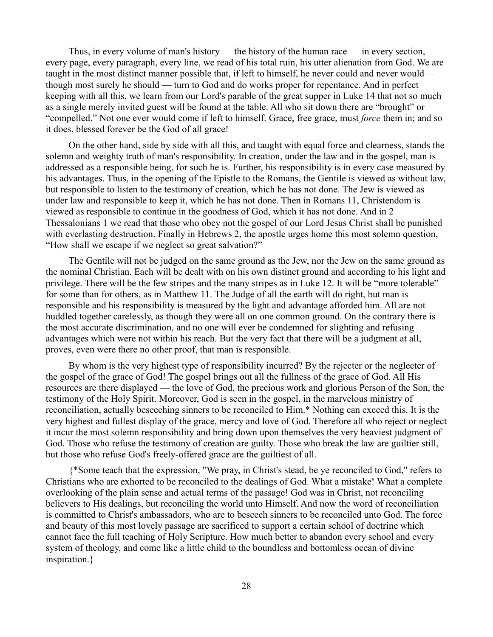Thus, in every volume of man's history — the history of the human race — in every section, every page, every paragraph, every line, we read of his total ruin, his utter alienation from God. We are taught in the most distinct manner possible that, if left to himself, he never could and never would though most surely he should — turn to God and do works proper for repentance. And in perfect keeping with all this, we learn from our Lord's parable of the great supper in Luke 14 that not so much as a single merely invited guest will be found at the table. All who sit down there are "brought" or "compelled." Not one ever would come if left to himself. Grace, free grace, must *force* them in; and so it does, blessed forever be the God of all grace!

On the other hand, side by side with all this, and taught with equal force and clearness, stands the solemn and weighty truth of man's responsibility. In creation, under the law and in the gospel, man is addressed as a responsible being, for such he is. Further, his responsibility is in every case measured by his advantages. Thus, in the opening of the Epistle to the Romans, the Gentile is viewed as without law, but responsible to listen to the testimony of creation, which he has not done. The Jew is viewed as under law and responsible to keep it, which he has not done. Then in Romans 11, Christendom is viewed as responsible to continue in the goodness of God, which it has not done. And in 2 Thessalonians 1 we read that those who obey not the gospel of our Lord Jesus Christ shall be punished with everlasting destruction. Finally in Hebrews 2, the apostle urges home this most solemn question, "How shall we escape if we neglect so great salvation?"

The Gentile will not be judged on the same ground as the Jew, nor the Jew on the same ground as the nominal Christian. Each will be dealt with on his own distinct ground and according to his light and privilege. There will be the few stripes and the many stripes as in Luke 12. It will be "more tolerable" for some than for others, as in Matthew 11. The Judge of all the earth will do right, but man is responsible and his responsibility is measured by the light and advantage afforded him. All are not huddled together carelessly, as though they were all on one common ground. On the contrary there is the most accurate discrimination, and no one will ever be condemned for slighting and refusing advantages which were not within his reach. But the very fact that there will be a judgment at all, proves, even were there no other proof, that man is responsible.

By whom is the very highest type of responsibility incurred? By the rejecter or the neglecter of the gospel of the grace of God! The gospel brings out all the fullness of the grace of God. All His resources are there displayed — the love of God, the precious work and glorious Person of the Son, the testimony of the Holy Spirit. Moreover, God is seen in the gospel, in the marvelous ministry of reconciliation, actually beseeching sinners to be reconciled to Him.\* Nothing can exceed this. It is the very highest and fullest display of the grace, mercy and love of God. Therefore all who reject or neglect it incur the most solemn responsibility and bring down upon themselves the very heaviest judgment of God. Those who refuse the testimony of creation are guilty. Those who break the law are guiltier still, but those who refuse God's freely-offered grace are the guiltiest of all.

{\*Some teach that the expression, "We pray, in Christ's stead, be ye reconciled to God," refers to Christians who are exhorted to be reconciled to the dealings of God. What a mistake! What a complete overlooking of the plain sense and actual terms of the passage! God was in Christ, not reconciling believers to His dealings, but reconciling the world unto Himself. And now the word of reconciliation is committed to Christ's ambassadors, who are to beseech sinners to be reconciled unto God. The force and beauty of this most lovely passage are sacrificed to support a certain school of doctrine which cannot face the full teaching of Holy Scripture. How much better to abandon every school and every system of theology, and come like a little child to the boundless and bottomless ocean of divine inspiration.}